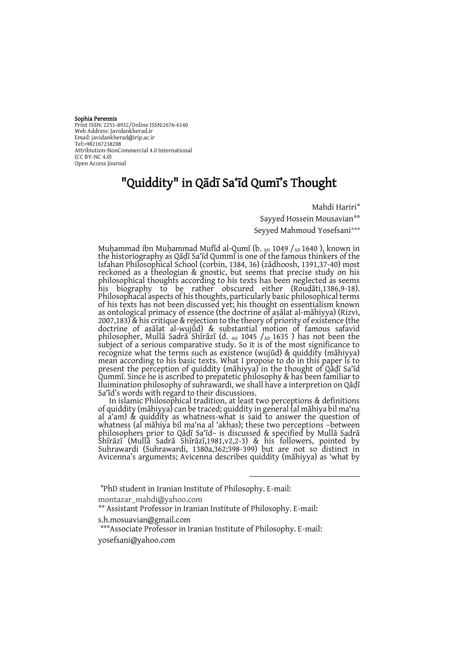#### Sophia Perennis

Print ISSN: 2251-8932/Online ISSN:2676-6140 Web Address: Javidankherad.ir Email[: javidankherad@irip.ac.ir](mailto:javidankherad@irip.ac.ir) [Tel:+982167238208](tel:+982167238208) Attribiution-NonCommercial 4.0 International (CC BY-NC 4.0) Open Access Journal

## "Quiddity" in Qādī Sa'īd Qumī's Thought

Mahdi Hariri\*

Sayyed Hossein Mousavian\*\* Seyyed Mahmoud Yosefsani\*\*\*

Muḥammad ibn Muḥammad Mufīd al-Qumī (b. AH 1049 /AD 1640 ), known in the historiography as Qāḍī Sa'īd Qummī is one of the famous thinkers of the Isfahan Philosophical School (corbin, 1384, 36) (zādhoosh, 1391,37-40) most reckoned as a theologian & gnostic, but seems that precise study on his philosophical thoughts according to his texts has been neglected as seems his biography to be rather obscured either (Rouḍāti,1386,9-18). Philosophacal aspects of his thoughts, particularly basic philosophical terms of his texts has not been discussed yet; his thought on essentialism known as ontological primacy of essence (the doctrine of aṣālat al-māhiyya) (Rizvi, 2007,183) & his critique & rejection to the theory of priority of existence (the doctrine of aṣālat al-wujūd) & substantial motion of famous safavid philosopher, Mullā Sadrā Shīrāzī (d.  $_{AH}$  1045 / $_{AD}$  1635 ) has not been the subject of a serious comparative study. So it is of the most significance to recognize what the terms such as existence (wujūd) & quiddity (māhiyya) mean according to his basic texts. What I propose to do in this paper is to present the perception of quiddity (māhiyya) in the thought of Qāḍī Sa'īd Qummī. Since he is ascribed to prepatetic philosophy & has been familiar to Iluimination philosophy of suhrawardi, we shall have a interpretion on Qāḍī Sa'īd's words with regard to their discussions.

In islamic Philosophical tradition, at least two perceptions & definitions of quiddity (māhiyya) can be traced; quiddity in general (al māhiya bil ma'na al a'am) & quiddity as whatness-what is said to answer the question of whatness (al māhiya bil ma'na al 'akhas); these two perceptions –between philosophers prior to Qāḍī Sa'īd– is discussed & specified by Mullā Sadrā Shīrāzī (Mullā Sadrā Shīrāzī,1981,v2,2-3) & his followers, pointed by Suhrawardi (Suhrawardi, 1380a,362;398-399) but are not so distinct in Avicenna's arguments; Avicenna describes quiddity (māhiyya) as 'what by

 $\overline{a}$ 

montazar\_mahdi@yahoo.com

<sup>\*</sup> PhD student in Iranian Institute of Philosophy. E-mail:

<sup>\*\*</sup> Assistant Professor in Iranian Institute of Philosophy. E-mail:

s.h.mosuavian@gmail.com

<sup>\*\*\*</sup>Associate Professor in Iranian Institute of Philosophy. E-mail: [yosefsani@yahoo.com](mailto:yosefsani@yahoo.com)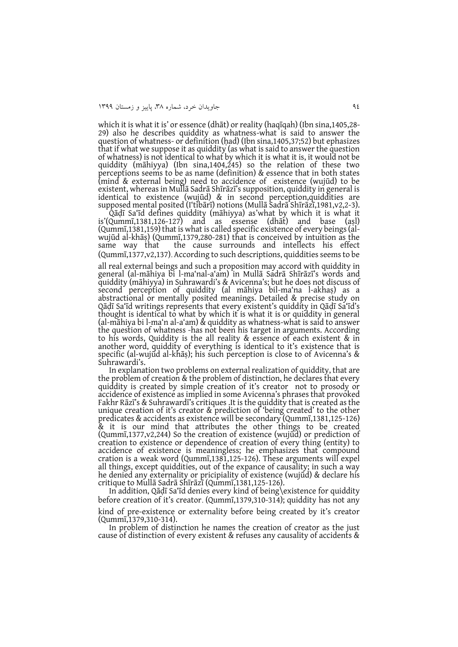which it is what it is' or essence (dhāt) or reality (haqīqah) (Ibn sina,1405,28- 29) also he describes quiddity as whatness-what is said to answer the question of whatness- or definition (ḥad) (Ibn sina,1405,37;52) but ephasizes that if what we suppose it as quiddity (as what is said to answer the question of whatness) is not identical to what by which it is what it is, it would not be quiddity (māhiyya) (Ibn sina,1404,245) so the relation of these two perceptions seems to be as name (definition) & essence that in both states (mind & external being) need to accidence of existence (wujūd) to be existent, whereas in Mullā Sadrā Shīrāzī's supposition, quiddity in general is identical to existence (wujūd) & in second perception,quiddities are supposed mental posited (I'tibārī) notions (Mullā Sadrā Shīrāzī,1981,v2,2-3).

Qāḍī Sa'īd defines quiddity (māhiyya) as'what by which it is what it is'(Qummī,1381,126-127) and as essense (dhāt) and base (aṣl) (Qummī,1381,159) that is what is called specific existence of every beings (alwujūd al-khāṣ) (Qummī,1379,280-281) that is conceived by intuition as the same way that the cause surrounds and intellects his effect (Qummī,1377,v2,137). According to such descriptions, quiddities seems to be all real external beings and such a proposition may accord with quiddity in general (al-māhiya bi l-ma'nal-a'am) in Mullā Sadrā Shīrāzī's words and quiddity (māhiyya) in Suhrawardi's & Avicenna's; but he does not discuss of second perception of quiddity (al māhiya bil-ma'na l-akhaṣ) as a abstractional or mentally posited meanings. Detailed & precise study on Qāḍī Sa'īd writings represents that every existent's quiddity in Qāḍī Sa'īd's thought is identical to what by which it is what it is or quiddity in general (al-māhiya bi l-ma'n al-a'am) & quiddity as whatness-what is said to answer the question of whatness -has not been his target in arguments. According to his words, Quiddity is the all reality & essence of each existent & in another word, quiddity of everything is identical to it's existence that is specific (al-wujūd al-khāṣ); his such perception is close to of Avicenna's & Suhrawardi's.

In explanation two problems on external realization of quiddity, that are the problem of creation & the problem of distinction, he declares that every quiddity is created by simple creation of it's creator not to prosody or accidence of existence as implied in some Avicenna's phrases that provoked Fakhr Rāzī's & Suhrawardī's critiques .It is the quiddity that is created as the unique creation of it's creator & prediction of 'being created' to the other predicates & accidents as existence will be secondary (Qummī,1381,125-126) & it is our mind that attributes the other things to be created (Qummī,1377,v2,244) So the creation of existence (wujūd) or prediction of creation to existence or dependence of creation of every thing (entity) to accidence of existence is meaningless; he emphasizes that compound cration is a weak word (Qummī,1381,125-126). These arguments will expel all things, except quiddities, out of the expance of causality; in such a way he denied any externality or pricipiality of existence (wujūd) & declare his critique to Mullā Sadrā Shīrāzī (Qummī,1381,125-126).

In addition, Qāḍī Sa'īd denies every kind of being\existence for quiddity before creation of it's creator. (Qummī,1379,310-314); quiddity has not any kind of pre-existence or externality before being created by it's creator (Qummī,1379,310-314).

In problem of distinction he names the creation of creator as the just cause of distinction of every existent & refuses any causality of accidents &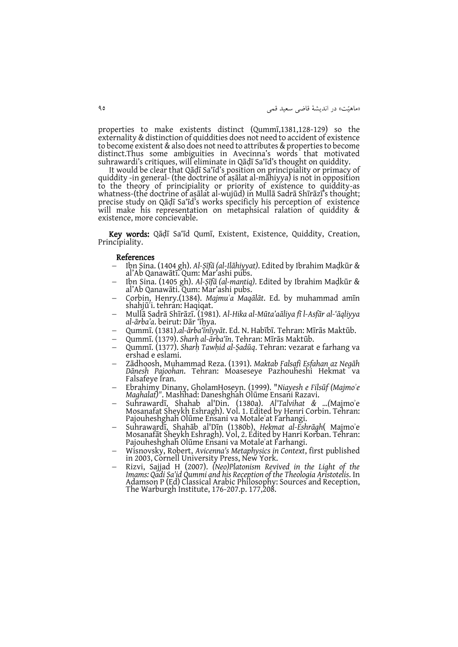»ماهیّت« در انديشة قاضی سعید قمی 49

properties to make existents distinct (Qummī,1381,128-129) so the externality & distinction of quiddities does not need to accident of existence to become existent & also does not need to attributes & properties to become distinct.Thus some ambiguities in Avecinna's words that motivated suhrawardi's critiques, will eliminate in Qāḍī Sa'īd's thought on quiddity.

It would be clear that Qāḍī Sa'īd's position on principiality or primacy of quiddity -in general- (the doctrine of aṣālat al-māhiyya) is not in opposition to the theory of principiality or priority of existence to quiddity-as whatness-(the doctrine of aṣālat al-wujūd) in Mullā Sadrā Shīrāzī's thought; precise study on Qāḍī Sa'īd's works specificly his perception of existence will make his representation on metaphsical ralation of quiddity & existence, more concievable.

Key words: Qāḍī Sa'īd Qumī, Existent, Existence, Quiddity, Creation, Principiality.

#### References

- Ibn Sina. (1404 gh). *Al-Ṣīfā (al-Ilāhiyyat)*. Edited by Ibrahim Maḍkūr & al'Ab Qanawātī. Qum: Mar'ashi pubs.
- Ibn Sina. (1405 gh). *Al-Ṣīfā (al-mantiq)*. Edited by Ibrahim Maḍkūr & al'Ab Qanawāti. Qum: Mar'ashi pubs.
- Corbin, Henry.(1384). *Majmuʾa Maqālāt*. Ed. by muhammad amīn shahjūʾi. tehran: Haqiqat.
- Mullā Sadrā Shīrāzī. (1981). *Al-Hika al-Mūta'aāliya fī l-Asfār al-'āqliyya al-ārba'a*. beirut: Dār 'īḥya.
- Qummī. (1381).*al-ārba'īnīyyāt*. Ed. N. Habībī. Tehran: Mīrās Maktūb.
- Qummī. (1379). *Sharḥ al-ārba'īn*. Tehran: Mīrās Maktūb.
- Qummī. (1377). *Sharḥ Tawḥid al-Ṣadūq*. Tehran: vezarat e farhang va ershad e eslami.
- Zādhoosh, Muhammad Reza. (1391). *Maktab Falsafi Esfahan az Negāh Dānesh Pajoohan*. Tehran: Moaseseye Pazhouheshi Hekmat va Falsafeye Iran.
- Ebrahimy Dinany, GholamHoseyn. (1999). "*Niayesh e Filsūf (Majmoʾe Maghalat)"*. Mashhad: Daneshghah Olūme Ensani Razavi.
- Suhrawardī, Shahab al'Din. (1380a). *Al'Talvihat & …(*Majmoʾe Mosanafat Sheykh Eshragh). Vol. 1. Edited by Henri Corbin. Tehran: Pajouheshghah Olūme Ensani va Motaleʾat Farhangi.
- Suhrawardī, Shahāb al'Dīn (1380b), *Hekmat al-Eshrāgh*( Majmoʾe Mosanafāt Sheykh Eshragh). Vol, 2. Edited by Hanri Korban. Tehran: Pajouheshghah Olūme Ensani va Motaleʾat Farhangi.
- Wisnovsky, Robert, *Avicenna's Metaphysics in Context*, first published in 2003, Cornell University Press, New York.
- Rizvi, Sajjad H (2007). *(Neo)Platonism Revived in the Light of the Imams: Qadi Sa'id Qummi and his Reception of the Theologia Aristotelis*. In Adamson P (Ed) Classical Arabic Philosophy: Sources and Reception, The Warburgh Institute, 176-207.p. 177,208.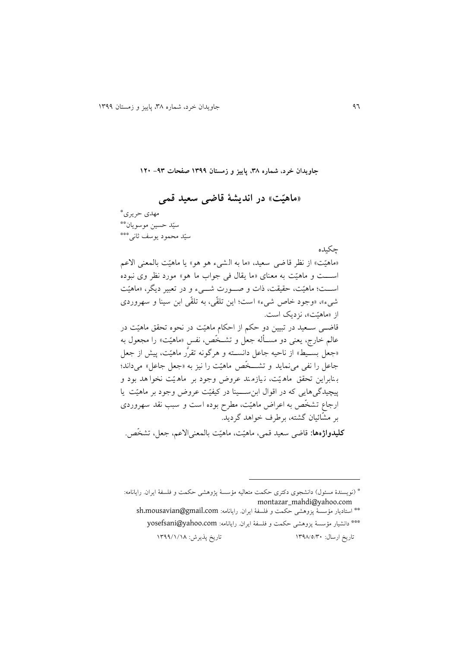**جاويدان خرد، شماره ،83 پايیز و زمستان 9811 صفحات -18 921**

# **»ماهیّت« در انديشة قاضی سعید قمی** مهدی حريری \*

\*\* سیّد حسین موسويان \*\*\* سیّد محمود يوسف ثانی

چکیده

«ماهیّت» از نظر قا ضی سعید، «ما به الشیء هو هو» یا ماهیّت بالمعنی الاعم استتتت و ماهیّت به معنای »ما يقال فی جواب ما هو« مورد نظر وی نبوده اســت؛ ماهیّت، حقیقت، ذات و صـــورت شــــیء و در تعبیر دیگر، «ماهیّت شیء «، »وجود خاص شیء « است ؛ اين رلقّی، به رلقّی ابن سینا و سهروردی از «ماهيّت»، نزديک است. قاضتی ستعید در ربیین دو حکم از احکام ماهیّت در نحوه رحقق ماهیّت در عالم خارج، يعني دو مسـأله جعل و تشــخّص، نفس «ماهیّت» را مجعول به «جعل بسـّیط» از ناحیه جاعل دانســته و هرگونه تقرَّر ماهیّت، پیش از جعل جاعل را نفی می نماید و تشـــخّص ماهیّت را نیز به «جعل جاعل» می داند؛ ب نابراين رحقق ماه یّت ، ن یازم ند عروض وجود بر ماه یّت نصوا هد بود و پیچیدگی هایی که در اقوال ابن ســينا در کیفیّت عروض وجود بر ماهیّت يا ارجاع تشخّص به اعراض ماهیّت، مطرح بوده است و سبب نقد سهروردی بر مشّائیان گشته، برطرف خواهد گرديد. كل**يدواژهها:** قاضي سعيد قمي، ماهيّت، ماهيّت بالمعنىالاعم، جعل، تشخّص.

 $\overline{a}$ 

<sup>\*</sup> )نويسندة مسئول( دانشجوی دکتری حکمت متعالیه مؤسسة پژوهشی حکمت و فلسفة ايران. رايانامه: montazar\_mahdi@yahoo.com

استاديار مؤسسة پزوهشی حکمت و فلسفة ايران. رايانامه: com.gmail@mousavian.sh\*\* \*\*\* دانشیار مؤسسة پزوهشی حکمت و فلسفة ايران. رايانامه: yosefsani@yahoo.com تاريخ ارسال: ١٣٩٨/٥/٣٠ السمت التاريخ پذيرش: ١٣٩٩/١/١٨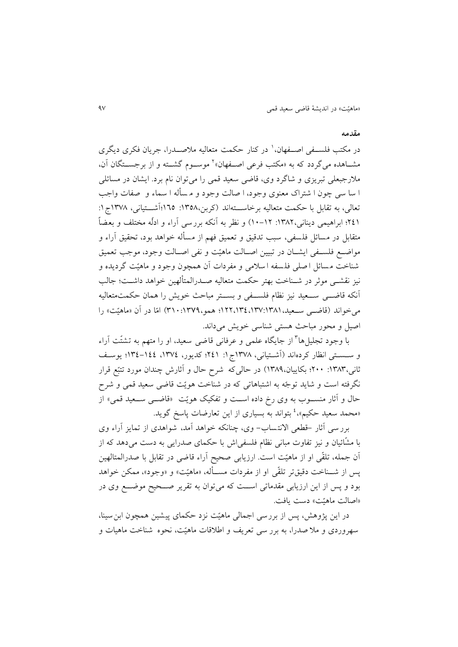#### **مقدمه**

در مکتب فلســفـی اصـــفهان،<sup>۱</sup> در کنار حکمت متعالیه ملاصـــدرا، جریان فکری دیگری مشــاهده میگردد که به «مکتب فرعی اصــفهان»<sup>۲</sup> موســوم گشــته و از برجســتگان آن، ملارجبعلی تبريزی و شاگرد وی، قاضی سعید قمی را میتوان نام برد. ايشان در مسائلی ا سا سی چون ا شتراک معنوی وجود، ا صالت وجود و م سهله ا سماء و صفات واجب تعالی، به تقابل با حکمت متعالیه برخاســتهاند (کربن،۱۳۵۸: ۱۳۵۵؛آشــتیانی، ۱۳۷۸ج۱: 299؛ ابراهیمی دينانی:9832، 93-92( و نظر به ،نکه بررسی ،راء و ادلّه مصتلف و بعضاً متقابل در مسائل فلسفی، سبب تدقیق و تعمیق فهم از مسأله خواهد بود، تحقیق آراء و مواضـع فلسـفی ايشــان در تبيين اصــالت ماهيّت و نفی اصــالت وجود، موجب تعمیق شناخت مسائل اصلی فلسفه ا سلامی و مفردات آن همچون وجود و ماهیّت گردیده و نیز نقشتی موثر در شــناخت بهتر حکمت متعالیه صــدرالمتألهین خواهد داشــت؛ جالب ،نکه قاضتتی ستتعید نیز نظام فلستتفی و بستتتر مباحی خويش را همان حکمت متعالیه می خواند (قاضتی ستعید،۱۳۸۱،۱۳۷:۱۳۵،۱۲۷،۱۳۷۱؛ همو،۱۳۷۹:۱۳۱۰) امّا در آن «ماهیّت» را اصیل و محور مباحث هستی شناسی خويش میداند.

با وجود تجلیلها<sup>۳</sup> از جایگاه علمی و عرفانی قاضی سعید، او را متهم به تشتّت آراء و سـسـتی انظار کردهاند (اَشـتیانی، ۱۳۷۸ج۱: ۲٤۱؛ کدیور، ۱۳۷٤، ۱۳۶٤-۱۳٤؛ يوسـف ثانی،۱۳۸۳: ۲۰۰؛ بکاییان،۱۳۸۹) در حالیکه شرح حال و آثارش چندان مورد تتبّع قرار نگرفته است و شايد توجّه به اشتباهاتی که در شناخت هويّت قاضی سعید قمی و شرح حال و آثار منسـوب به وی رخ داده اسـت و تفکیک هويّت «قاضــي ســعید قمی» از «محمد سعید حکیم»، <sup>1</sup> بتواند به بسیاری از این تعارضات پاسخ گوید.

برر سی أثار -قطعی الانتمساب- وی، چنانکه خواهد آمد، شواهدی از تمایز أراء وی با مشّائیان و نیز رفاوت مبانی نظام فلسفیاش با حکمای صدرايی به دست میدهد که از آن جمله، تلقّی او از ماهیّت است. ارزیابی صحیح آراء قاضی در تقابل با صدرالمتالهین پس از شــناخت دقیقتر تلقّی او از مفردات مســأله، «ماهیّت» و «وجود»، ممکن خواهد بود و پس از اين ارزيابی مقدماتی است که میتوان به تقرير صــحيح موضـــع وی در »اصالت ماهیّت« دست يافت.

در این پژوهش، پس از بررسی اجمالی ماهیّت نزد حکمای پیشین همچون ابن سینا، سهروردی و مال صدرا ، به برر سی رعر يف و اطالقات ماهیّت، نحوه شناخت ماهیات و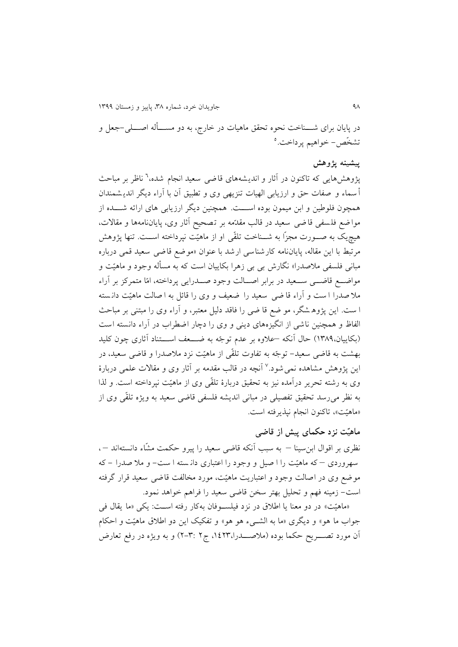در پایان برای شــــناخت نحوه تحقق ماهیات در خارج، به دو مســــأله اصــــلی-جعل و تشخّص – خواهیم پرداخت.<sup>0</sup>

#### **پیشینه پژوهش**

پژوهشهایی که تاکنون در آثار و اندیشههای قاضی سعید انجام شده،<sup>7</sup> ناظر بر مباحث أ سماء و صفات حق و ارزيابی الهيات تنزيهی وی و تطبيق أن با آراء ديگر انديشمندان همچون فلوطین و ابن میمون بوده اســـت. همچنین دیگر ارزیابی های ارائه شـــده از موا ضع فلسفی قا ضی سعید در قالب مقدّمه بر تصحیح آثار وی، پایان نامهها و مقالات، هیچیک به صـورت مجزّا به شــناخت تلقّی او از ماهیّت نپرداخته اســت. تنها پژوهش مرتبط با اين مقاله، پاياننامه کارشناسی ارشد با عنوان «موضع قاضی سعید قمی درباره مبانی فلسفی ملاصدرا» نگارش بی بی زهرا بکاییان است که به مسأله وجود و ماهیّت و مواضـــع قاضــــی ســـعید در برابر اصـــالت وجود صـــدرايی پرداخته، امّا متمرکز بر آراء ملا صدرا ا ست و آراء قا ضی سعید را ضعیف و وی را قائل به ا صالت ماهیّت دانسته ا ست. اين پژوه شگر، مو ضع قا ضی را فاقد دلیل معتبر، و آراء وی را مبتنی بر مباحث الفاظ و همچنین ناشی از انگیزههای دینی و وی را دچار اضطراب در آراء دانسته است (بکاييان، ١٣٨٩) حال آنکه –علاوه بر عدم توجّه به ضـــعف اســـتناد آثاری چون کليد بهشت به قاضی سعید - روجّه به رفاوت رلقّی از ماهیّت نزد مالصدرا و قاضی سعید ، در ین پژوهش مشاهده نمی شود.<sup>۷</sup> أنچه در قالب مقدمه بر أثار وی و مقالات علم*ی* دربارهٔ وی به رشته تحرير درآمده نيز به تحقيق دربارهٔ تلقّی وی از ماهيّت نپرداخته است. و لذا به نظر می رسد تحقیق تفصیلی در مبانی اندیشه فلسفی قاضی سعید به ویژه تلقّی وی از »ماهیّت«، راکنون انجام نپذيرفته است.

## **ماهیّت نزد حکمای پیش از قاضی**

نظری بر اقوال ابنِسینا – به سبب أنکه قاضی سعید را پیرو حکمت مشّاء دانستهاند –، سهروردی – که ماهیّت را ا صیو و وجود را اعتباری دان سته ا ست - و مال صدرا - که موضف وی در اصالت وجود و اعتباريت ماهیّت، مورد مصالفت قاضی سعید قرار گرفته است- زمینه فهم و تحلیل بهتر سخن قاضی سعید را فراهم خواهد نمود.

»ماهیّت« در دو معنا يا اطالق در نزد فیلستتوفان بهکار رفته استتت: يکی »ما يقال فی جواب ما هو» و ديگرى «ما به الشــيء هو هو» و تفکيک اين دو اطلاق ماهيّت و احکام آن مورد تصــــريح حکما بوده (ملاصــــدرا،١٤٢٣، ج٢ :٣-٢) و به ويژه در رفع تعارض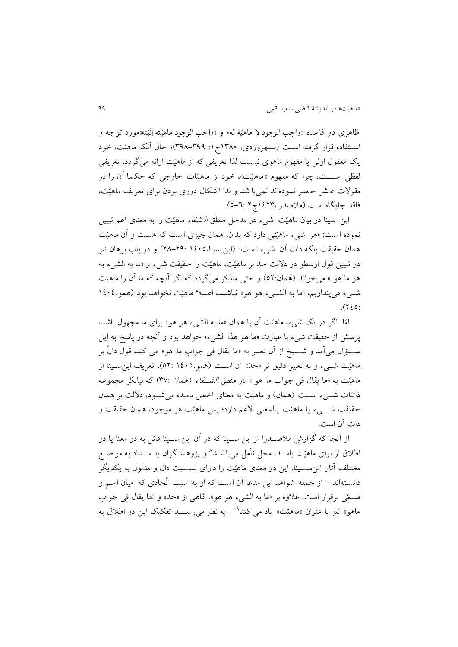ظاهری دو قاعده «واجب الوجود لا ماهیّهٔ له» و «واجب الوجود ماهیّته إنّیته»مورد توجه و ֦֧֦֧֦֧֦֧֦֧֦֧֦֧֝֝ ֦֧֦֧֦֧֦֧֦֧֦֧֦֧֦֧֦֧֦֧֦֧֦֧֦֧֦֧<br>֧֧֧֧֪֪֪֝֓֝֓֝֝֝֝ ؙ استفاده قرار گرفته است (سهروردی، ۱۳۸۰ج۱: ۳۹۸-۳۹۸)؛ حال آنکه ماهیّت، خود يک معقول اولی يا مفهوم ماهوی نی ست لذا رعريفی که از ماهیّت ارائه میگردد، رعريفی لفظی اســـت، چرا که مفهوم «ماهیّت»، خود از ماهیّات خارجی که حکما آن را در مقوالت ع شر ح صر نمودهاند نمیبا شد و لذا ا شکال دوری بودن برای رعريف ماهیّت، فاقد جايگاه است (ملاصدرا،١٤٢٣ع/ج٢ :٦-٥).

ابن سینا در بیان ماهیّت شیء در مدخل منطق *الشفاء* ماهیّت را به معنای اعم تبیین نموده ا ست: «هر شیء ماهیّتی دارد که بدان، همان چیزی ا ست که هست و آن ماهیّت همان حقیقت بلکه ذات آن شیء ا ست» (ابن سینا، ۲۹: ۱٤٠١–۲۸) و در باب برهان نیز در تبیین قول ارسطو در دلالت حد بر ماهیّت، ماهیّت را حقیقت شیء و «ما به الشیء به هو ما هو » می خواند (همان:٥٢) و حتی متذکر می گردد که اگر آنچه که ما آن را ماهیّت شتیء میپنداريم، »ما به الشتیء هو هو« نباشتد، اصتال ماهیّت نصواهد بود )همو9939،  $.$ (720:

امّا اگر در يک شیء، ماهیّت ،ن يا همان »ما به الشیء هو هو« برای ما مجهول باشد، پرسش از حقیقت شیء با عبارت «ما هو هذا الشیء» خواهد بود و آنچه در پاسخ به این ســـؤال می]يد و شــــيخ از أن تعبير به «ما يقال فی جواب ما هو» می کند، قول دالّ بر ماهیّت شتیء و به تعبیر دقیق تر «حدّ» آن است (همو،١٤٠٥، 92). تعریف ابن سـینا از ماهیّت به «ما يقال فی جواب ما هو » در منطق *الشــفاء* (همان :٣٧) که بیانگر مجموعه ذاتیّات شتیء است (همان) و ماهیّت به معنای اخص نامیده می شـود، دلالت بر همان حقیقت شتتتیء يا ماهیّت بالمعنی االعم دارد ؛ پس ماهیّت هر موجود، همان حقیقت و ذات آن است.

از آنجا که گزارش ملاصـــدرا از ابن ســـينا که در آن ابن ســينا قائل به دو معنا يا دو طلاق از برای ماهیّت باشــد، محل تأمل میباشــد^ و پژوهشـگران با اســتناد به مواضــع مختلف آثار ابن ســبنا، اين دو معنای ماهنّت را دارای نســبت دال و مدلول به يکديگر دانستهاند – از جمله شواهد اين مدعا آن است که او به سبب اتّحادی که ميان اسم و مسمّی برقرار است، عالوه بر »ما به الشیء هو هو«، گاهی از »حد« و »ما يقال فی جواب ماهو» نیز با عنوان «ماهیّت» یاد می کند<sup>۹</sup> – به نظر می٫ســـد تفکیک این دو اطلاق به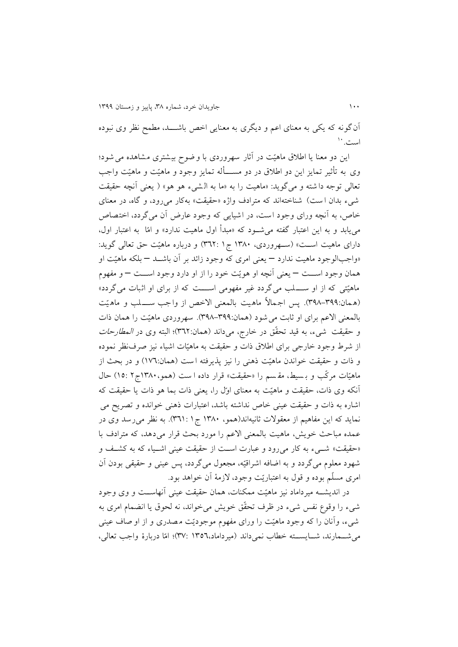آن گونه که يکي به معنای اعم و ديگری به معنايی اخص باشــــد، مطمح نظر وی نبوده ست.``

اين دو معنا يا اطلاق ماهيّت در آثار سهروردی با وضوح بيشتری مشاهده می شود؛ وی به تأثیر تمایز این دو اطلاق در دو مســــأله تمایز وجود و ماهیّت و ماهیّت واجب تعالی توجه دا شته و میگويد: «ماهيت را به «ما به الشیء هو هو» ( يعنی أنچه حقيقت شیء بدان است) شناختهاند که مترادف واژه «حقیقت» بهکار میرود، و گاه، در معنای خاص، به آنچه ورای وجود است، در اشیایی که وجود عارض آن می گردد، اختصاص میيابد و به اين اعتبار گفته میشتود که »مبدأ اول ماهیت ندارد« و امّا به اعتبار اول، دارای ماهیت است» (ستهروردی، ۱۳۸۰ ج۱ :۳٦۲) و درباره ماهیّت حق تعالی گوید: »واجبالوجود ماهیت ندارد – يعنی امری که وجود زائد بر ،ن باشتتد – بلکه ماهیّت او همان وجود استتت – يعنی ،نچه او هويّت خود را از او دارد وجود استتت – و مفهوم ماهیّتی که از او ســـلب می گردد غیر مفهومی اســـت که از برای او اثبات می گردد» (همان:٣٩٩-٣٩٨). پس اجمالاً ماهیت بالمعنی الاخص از واجب ســـلب و ماهيّت بالمعنی الاعم برای او ثابت می شود (همان:۳۹۹–۳۹۸). سهروردی ماهیّت را همان ذات و حقیقت شیء، به قید تحقّق در خارج، میداند (همان:۳٦٢)؛ البته وی در *المطارحات* از شرط وجود خارجی برای اطالق ذات و حقیقت به ماهیّات اشیاء نیز صرفنظر نموده و ذات و حقیقت خواندن ماهیّت ذهنی را نیز پذیرفته است (همان:١٧٦) و در بحث از ماهیّات مرکّب و بـسیط، مقسم را «حقیقت» قرار داده ا ست (همو، ۱۳۸۰ج۲ :۱۵) حال آنکه وی ذات، حقیقت و ماهیّت به معنای اوّل را، یعنی ذات بما هو ذات یا حقیقت که اشاره به ذات و حقیقت عینی خاص نداشته باشد، اعتبارات ذهنی خوانده و رصريح می نمايد که اين مفاهیم از معقوالت ثانیهاند)همو، 9833 ج9 899:(. به نظر میرسد وی در عمده مباحی خويش، ماهیت بالمعنی االعم را مورد بحی قرار می دهد، که مترادف با «حقیقت» شتیء به کار می رود و عبارت است از حقیقت عینی اشتیاء که به کشتف و شهود معلوم می گردد و به اضافه اشراقیّه، مجعول می گردد، پس عینی و حقیقی بودن آن امری مسلّم بوده و قول به اعتباريّت وجود، لازمهٔ أن خواهد بود.

در انديشته میرداماد نیز ماهیّت ممکنات، همان حقیقت عینی آنهاســت و وی وجود شیء را وقوع نفس شیء در ظرف تحقّق خويش می خواند، نه لحوق يا انضمام امری به شیء، وأنان را که وجود ماهیّت را ورای مفهوم موجودیّت مصدری و از او صاف عینی میشتتمارند، شتتايستتته خطاب نمی داند )میرداماد9899، 89:(؛ امّا دربارة واجب رعالی،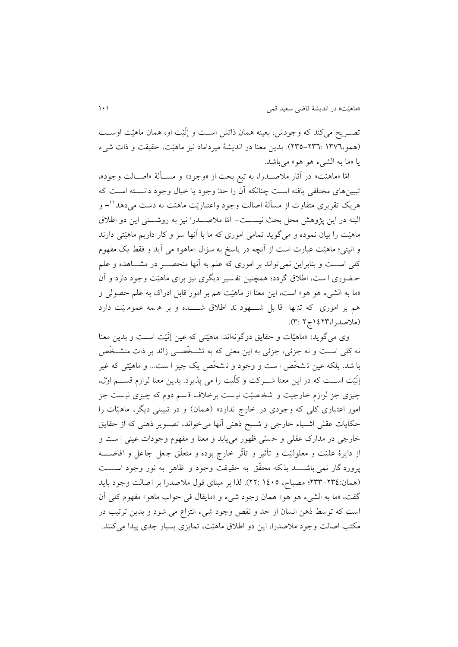تصــريح میکند که وجودش، بعینه همان ذاتش اسـت و إنّیّت او، همان ماهیّت اوســت (همو،١٣٧٦-٣٣٥-٢٣٥). بدين معنا در انديشهٔ میرداماد نیز ماهیّت، حقیقت و ذات شیء يا »ما به الشیء هو هو« میباشد.

امّا «ماهیّت» در آثار ملاصـــدرا، به تبع بحث از «وجود» و مســألهٔ «اصــالت وجود»، تبیینهای مختلفی يافته است چنانکه أن را حدّ وجود يا خیال وجود دانسـته اسـت که هريک تقريری متفاوت از مسألهٔ اصالت وجود واعتباريّت ماهيّت به دست میدهد''– و البته در اين پژوهش محل بحث نيســت- امّا ملاصـــدرا نيز به روشـــنی اين دو اطلاق ماهیّت را بیان نموده و می گوید تمامی اموری که ما با آنها سر و کار داریم ماهیّتی دارند و انیتی؛ ماهیّت عبارت است از آنچه در پاسخ به سؤال «ماهو» می آید و فقط یک مفهوم کلی است و بنابراين نمی تواند بر اموری که علم به آنها منحصـــر در مشـــاهده و علم حـضوری ا ست، اطلاق گردد؛ همچنین تفسیر دیگری نیز برای ماهیّت وجود دارد و آن »ما به الشیء هو هو« است، اين معنا از ماهیّت هم بر امور قابو ادراک به علم حصولی و هم بر اموری که تنها ًقا بل شـــهود ند اطلاق شــــده و بر ه مه عموم یّت دارد )مالصدرا9928،ج2 8:(.

وی میگويد: »ماهیّات و حقايق دوگونهاند: ماهیّتی که عین إنّیّت استتت و بدين معنا نه کلی اســت و نه جزئی، جزئی به این معنی که به تشــخَصــی زائد بر ذات متشــخَص با شد، بلکه عین تـشخّص ا ست و وجود و تـشخّص يک چیز ا ست... و ماهیّتی که غیر إنّیّت استتت که در اين معنا شتترکت و کلّ یت را می پذيرد. بدين معنا لوازم قستتم اوّل، چیزی جز لوازم خارجیت و شخصیّت نیست برخلاف قسم دوم که چیزی نیست جز امور اعتباری کلی که وجودی در خارج ندارد» (همان) و در تبیینی دیگر، ماهیّات را حکايات عقلی اشـياء خارجی و شـبح ذهنی أنها میخواند، تصـوير ذهنی که از حقايق خارجی در مدارک عقلی و حسّی ظهور مییابد و معنا و مفهوم وجودات عینی ا ست و از دايرهٔ علّيّت و معلوليّت و تأثير و تأثّر خارج بوده و متعلّق جعل جاعل و افاضــــه پرورد گار نمی باشــــد بلکه محقّق به حقیقت وجود و ظاهر به نور وجود اســــت )همان288-289:؛ مصباح، 9939 22:(. لذا بر مبنای قول مالصدرا بر اصالت وجود بايد گقت، «ما به الشَّيء هو هو» همان وجود شيء و «مايقال في جواب ماهو» مفهوم کلي آن است که توسط ذهن انسان از حد و نقص وجود شیء انتزاع می شود و بدین ترتیب در مکتب اصالت وجود مالصدرا، اين دو اطالق ماهیّت، رمايزی بسیار جدی پیدا میکنند.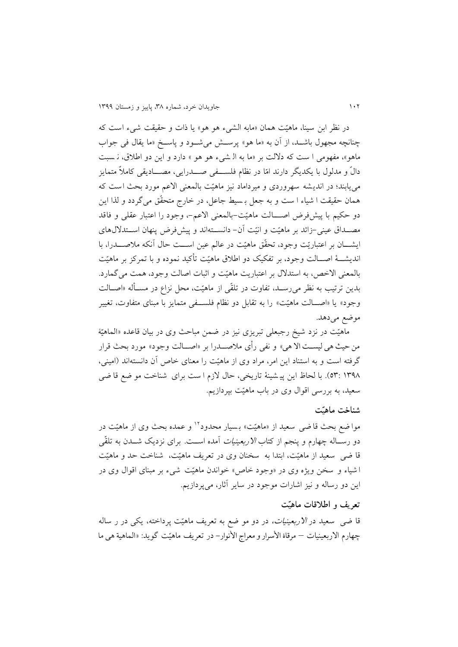در نظر ابن سینا ، ماهیّت همان »مابه الشیء هو هو« يا ذات و حقیقت شیء است که چنانچه مجهول باشـد، از آن به «ما هو» پرسـش میشـود و پاسـخ «ما يقال فی جواب ماهو»، مفهومی ا ست که دلالت بر «ما به ال شیء هو هو » دارد و اين دو اطلاق، ن سبت دالّ و مدلول با يکديگر دارند امّا در نظام فلســـفی صــــدرايی، مصــــاديقی کاملاً متمايز میيابند؛ در انديشه سهروردی و میرداماد نیز ماهیّت بالمعنی االعم مورد بحی است ک ه همان حقیقت ا شیاء ا ست و به جعل بـسیط جاعل، در خارج متحقّق میگردد و لذا این دو حکیم با پیشفرض اصـــالت ماهیّت-بالمعنی الاعم-، وجود را اعتبار عقلی و فاقد مصـداق عینی-زائد بر ماهیّت و انیّت آن- دانســتهاند و پیشفرض پنهان اســتدلالهای ايشـــان بر اعتباريّت وجود، تحقّق ماهيّت در عالم عين اســـت حال آنکه ملاصـــدرا، با انديشـــهٔ اصـــالت وجود، بر تفکیک دو اطلاق ماهیّت تأکید نموده و با تمرکز بر ماهیّت بالمعنی الاخص، به استدلال بر اعتباریت ماهیّت و اثبات اصالت وجود، همت می گمارد. بدين ترتيب به نظر می رسـد، تفاوت در تلقّی از ماهيّت، محل نزاع در مسـأله «اصـالت وجود» يا «اصـالت ماهيّت» را به تقابل دو نظام فلسـفی متمايز با مبنای متفاوت، تغيير موضع می دهد.

ماهیّت در نزد شیخ رجبعلی تبریزی نیز در ضمن مباحث وی در بیان قاعده «الماهیّهٔ من حیث هی لیســت الا هی» و نفی رأی ملاصـــدرا بر «اصـــالت وجود» مورد بحث قرار گرفته است و به استناد این امر، مراد وی از ماهیّت را معنای خاص آن دانستهاند (امینی، ٥٣: ١٣٩٨). با لحاظ اين پي شينهٔ تاريخي، حال لازم ا ست براي شناخت مو ضع قا ضي سعید، به بررسی اقوال وی در باب ماهیّت بپردازيم.

#### **شناخت ماهیّت**

موا ضع بحث قا ضی سعید از «ماهیّت» بـسیار محدود<sup>۱۲</sup> و عمده بحث وی از ماهیّت در دو رســاله چهارم و پنجم از کتاب *الاربعینیات* آمده اســت. برای نزدیک شـــدن به تلقّی قا ضی سعید از ماهیّت، ابتدا به سصنان وی در رعريف ماهیّت، شناخت حد و ماهیّت ا شیاء و سخن ویژه وی در «وجود خاص» خواندن ماهیّت شیء بر مبنای اقوال وی در اين دو رساله و نيز اشارات موجود در ساير آثار، میپردازيم.

### **تعریف و اطالقات ماهیّت**

قا ضی ً سعید در *الاربعینیات،* در دو مو ضع به تعریف ماهیّت پرداخته، یکی در ر ساله چهارم االربعینیات – مرقاۀ األسرار و معراج األنوار- در رعريف ماهیّت گويد: »الماهیة هی ما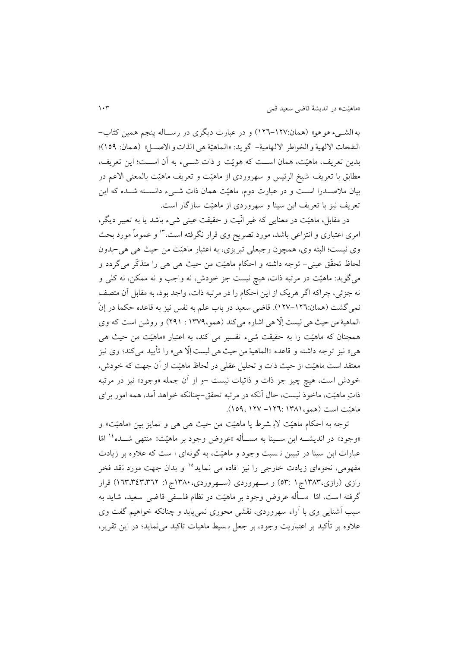به الشــیء هو هو» (همان:۱۲۷–۱۲۲) و در عبارت دیگری در رســاله پنجم همین کتاب-النفحات الالهية و الخواطر الالهامية- گويد: «الماهيّة هي الذات و الاصـــل» (هـمان: ١٥٩)؛ بدين تعريف، ماهيّت، همان اسـت که هويّت و ذات شـــيء به آن اســت؛ اين تعريف، مطابق با تعريف شيخ الرئيس و سهروردی از ماهيّت و تعريف ماهيّت بالمعنى الاعم در بیان ملاصــدرا اســت و در عبارت دوم، ماهیّت همان ذات شــیء دانســته شــده که این رعريف نیز با رعريف ابن سینا و سهروردی از ماهیّت سازگار است.

در مقابل، ماهیّت در معنایی که غیر انّیت و حقیقت عینی شیء باشد یا به تعبیر دیگر، امری اعتباری و انتزاعی باشد، مورد تصریح وی قرار نگرفته است، ۱<sup>۳</sup> و عموماً مورد بحث وی نیست؛ البته وی، همچون رجبعلی ربريزی، به اعتبار ماهیّت من حیی هی هی-بدون لحاظ رحقّق عینی- روجه داشته و احکام ماهیّت من حیی هی هی را متذکّر میگردد و میگويد: ماهیّت در مرربه ذات، هیچ نیست جز خودش، نه واجب و نه ممکن، نه کلی و نه جزئی، چراکه اگر هريک از اين احکام را در مرتبه ذات، واجد بود، به مقابل آن متصف نمی گشت (همان:١٢٦–١٢٧). قاضی سعید در باب علم به نفس نیز به قاعده حکما در إنّ الماهیة من حیث هی لیست إلا هی اشاره میکند (همو،١٣٧٩ : ٢٩١) و روشن است که وی ّ همچنان که ماهیّت را به حقیقت شیء تفسیر می کند، به اعتبار «ماهیّت من حیث هی هی» نیز توجه داشته و قاعده «الماهیة من حیث هی لیست إلا هی» را تایید میکند؛ وی نیز ֦֡֡֓֓֓֓֓֓֓֓֓֓֓֓֓֓֓֓֓֓֓֓֓֓֓֓֓֓֓֓֓֓֡֟֓֡֟֓֡֟ معتقد است ماهیّت از حیث ذات و تحلیل عقلی در لحاظ ماهیّت از آن جهت که خودش، خودش است، هیچ چیز جز ذات و ذاتیات نیست –و از آن جمله «وجود» نیز در مرتبه ذاتِ ماهیّت، ماخوذ نیست، حال آنکه در مرتبه تحقق-چنانکه خواهد اَمد، همه امور برای ماهیّت است (همو، ۱۳۸۱: ۱۲۷– ۱۵۹، ۱۵۹).

روجه به احکام ماهیّت الب شرط يا ماهیّت من حیی هی هی و رمايز بین »ماهیّت« و «وجود» در اندیشـــه ابن ســـینا به مســـأله «عروض وجود بر ماهیّت» منتهی شـــده<sup>۱۶</sup> امّا عبارات ابن سینا در ربیین ن سبت وجود و ماهیّت، به گونهای ا ست که عالوه بر زيادت مفهومی، نحوهای زيادت خارجی را نيز افاده می نمايد<sup>10</sup> و بدان جهت مورد نقد فخر رازی (رازی،۱۳۸۳ج۱ :۵۳) و سهروردی (سهروردی،۱۳۸۰ج۱: ۱۳،۳٤٣،۳۲۲) قرار گرفته است، امّا مسهله عروض وجود بر ماهیّت در نظام فلسفی قاضی سعید، شايد به سبب أشنايی وی با أراء سهروردی، نقشی محوری نمی پابد و چنانکه خواهیم گفت وی علاوه بر تأکید بر اعتباريت وجود، بر جعل بـسیط ماهیات تاکید می نماید؛ در اين تقرير،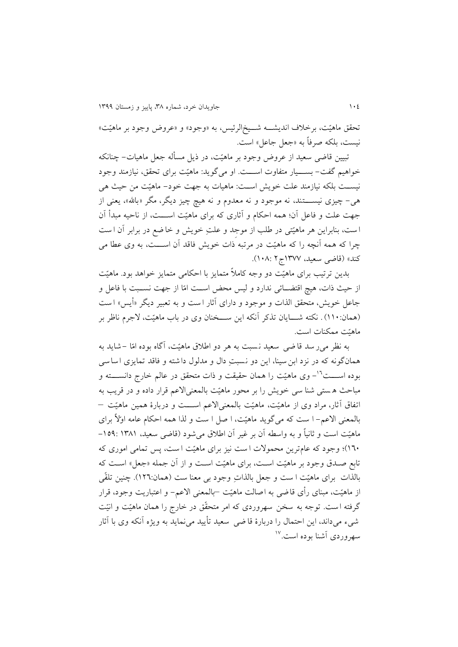تحقق ماهیّت، برخلاف اندیشــه شــیخ|لرئیس، به «وجود» و «عروض وجود بر ماهیّت» نیست، بلکه صرفاً به «جعل جاعل» است.

تبیین قاضی سعید از عروض وجود بر ماهیّت، در ذیل مسأله جعل ماهیات– چنانکه خواهیم گفت- بســـیار متفاوت اســـت. او می گوید: ماهیّت برای تحقق، نیازمند وجود نیسـت بلکه نیازمند علت خويش اسـت: ماهیات به جهت خود- ماهیّت من حیث هی هی- چیزی نیســــتند، نه موجود و نه معدوم و نه هیچ چیز دیگر، مگر «بالله»، یعنی از جهت علت و فاعل آن؛ همه احکام و آثاری که برای ماهیّت اســـت، از ناحیه مبدأ آن است، بنابراين هر ماهيّتی در طلب از موجِد و علتِ خويش و خا ضع در برابر آن است چرا که همه آنچه را که ماهیّت در مرتبه ذات خویش فاقد آن اســـت، به وی عطا می کند» (قاضی سعید، ۱۳۷۷ج۲ :۱۰۸).

بدين ررریب برای ماهیّت دو وجه کامالً متمايز با احکامی متمايز خواهد بود. ماهیّت از حیث ذات، هیچ اقتضــائی ندارد و لیس محض اســت امّا از جهت نســبت با فاعل و جاعل خويش، متحقق الذات و موجود و دارای أثار ا ست و به تعبیر ديگر «أيس» ا ست (همان:۱۱۰) . نکته شــــايان تذکر آنکه اين ســـخنان وی در باب ماهيّت، لاجرم ناظر بر ماهیّت ممکنات است.

به نظر می ر سد قا ضی سعید نسبت به هر دو اطلاق ماهیّت، آگاه بوده امّا –شاید به همانگونه که در نزد ابن سینا، این دو نسبتِ دال و مدلول داشته و فاقد تمایزی اساسی بوده اســـت<sup>٦٦</sup>– وی ماهیّت را همان حقیقت و ذات متحقق در عالم خارج دانســــته و مباحی ه ستی شنا سی خويش را بر محور ماهیّت بالمعنیاالعم قرار داده و در قريب به اتفاق أثار، مراد وی از ماهیّت، ماهیّت بالمعنیالاعم اســـت و دربارهٔ همین ماهیّت – بالمعنی االعم- ا ست که میگويد ماهیّت، ا صو ا ست و لذا همه احکام عامه اوّالً برای ماهیّت است و ثانیاً و به واسطه آن بر غیر آن اطلاق می شود (قاضی سعید، ۱۳۸۱ :۱۰۹-١٦٠)؛ وجود که عامترين محمولات ا ست نيز برای ماهيّت ا ست، پس تمامی اموری که تابع صـدق وجود بر ماهیّت اسـت، برای ماهیّت اسـت و از آن جمله «جعل» اسـت که بالذات برای ماهیّت ا ست و جعل بالذاتِ وجود بی معنا ست (همان:١٢٦). چنین تلقّی از ماهیّت، مبنای رأی قاضی به اصالت ماهیّت –بالمعنی االعم- و اعتباريت وجود، قرار گرفته است. توجه به سخن سهروردی که امر متحقّق در خارج را همان ماهیّت و انیّت شیء می داند، اين احتمال را دربارهٔ قا ضی ً سعید تأييد می نمايد به ويژه آنکه وی با آثار سهروردی أشنا بوده است.<sup>۱۷</sup>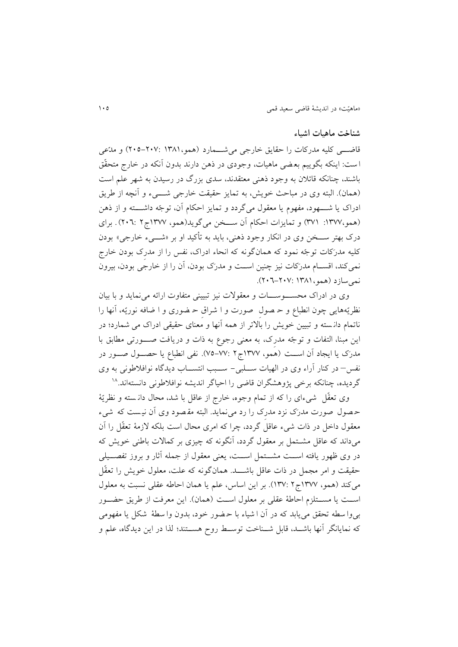## **شناخت ماهیات اشیاء**

قاضتی کلیه مدرکات را حقایق خارجی می شــمارد (همو،١٣٨١-٢٠٥-٢٠٥) و مدّعی ا ست: اینکه بگوییم بعضی ماهیات، وجودی در ذهن دارند بدون آنکه در خارج متحقّق باشند، چنانکه قائالن به وجود ذهنی معتقدند، سدی بزرگ در رسیدن به شهر علم است (همان). البته وی در مباحث خويش، به تمايز حقيقت خارجی شــــیء و آنچه از طريق ادراک يا شــــهود، مفهوم يا معقول می گردد و تمايز احکام آن، توجّه داشــــته و از ذهن (همو،١٣٧٧: ٣٧١) و تمايزات احکام آن ســخن می گويد(همو، ١٣٧٧ج٢ :٢٠٦). برای درک بهتر ســـخن وی در انکار وجود ذهنی، بايد به تأکيد او بر «شــــیء خارجی» بودن کلیه مدرَکات روجّ ه نمود که همان گونه که انحاء ادراک، نفس را از مدرِک بودن خارج نمیکند، اقسـام مدرَکات نیز چنین اســت و مدرَک بودن، آن را از خارجی بودن، بیرون نمی سازد (همو، ۱۳۸۱: ۲۰۲-۲۰۲).

وی در ادراک محسـوســـات و معقولات نیز تبیینی متفاوت ارائه می نماید و با بیان نظريّههايی چون انطباع و حـ صولِ صورت و ا شراقِ حـ ضوری و ا ضافه نوريّه، أنها را ناتمام دانسته و تبيين خويش را بالاتر از همه آنها و معنای حقیقی ادراک می شمارد؛ در اين مبنا، التفات و توجّه مدرک، به معنی رجوع به ذات و دريافت صــورتی مطابق با مدرَک يا ايجاد اَن اســت (همو، ١٣٧٧ج٢ :٧٧-٧٥). نفي انطباع يا حصــول صــور در نفس– در کنار آراء وی در الهیات ســـلبی- ســـبب انتســـاب دیدگاه نوافلاطونی به وی گرديده، چنانکه برخی پژوهشگران قاضی را احیاگر انديشه نوافلاطونی دانستهاند.^`

وی تعقّل شیءای را که از تمام وجوه، خارج از عاقل با شد، محال دان سته و نظريّهٔ حصول صورت مدرَک نزد مدرک را رد می نماید. البته مقصود وی آن نیست که شیء معقول داخل در ذات شیء عاقل گردد، چرا که امری محال است بلکه لازمهٔ تعقّل را آن می داند که عاقل مشتمل بر معقول گردد، آنگونه که چیزی بر کمالات باطنی خویش که در وی ظهور يافته اســت مشــتمل اســت، يعنی معقول از جمله آثار و بروز تفصــيلی حقیقت و امر مجمل در ذات عاقل باشـــد. همانگونه که علت، معلول خویش را تعقّل می کند (همو، ١٣٧٧ج ٢ :١٣٧). بر اين اساس، علم يا همان احاطه عقلی نسبت به معلول است يا مســتلزم احاطة عقلی بر معلول اســت (همان). اين معرفت از طريق حضــور بی وا سطه تحقق می یابد که در آن ا شیاء با حـضور خود، بدون وا سطهٔ شکل یا مفهومی که نمايانگر أنها باشـد، قابل شــناخت توسـط روح هســتند؛ لذا در اين ديدگاه، علم و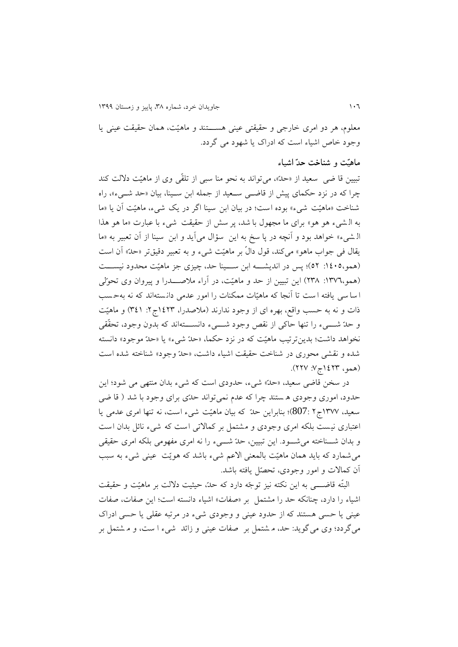معلوم، هر دو امری خارجی و حقیقتی عینی هستتتتند و ماهیّت ، همان حقیقت عینی يا وجود خاص اشیاء است که ادراک يا شهود می گردد.

#### **ماهیّت و شناخت حدّ اشیاء**

ربیین قا ضی سعید از »حدّ«، میرواند به نحو منا سبی از رلقّی وی از ماهیّت داللت کند چرا که در نزد حکمای پیش از قاضتی ستعید از جمله ابن ستینا، بیان »حد شتیء«، راه شناخت »ماهیّت شیء « بوده است ؛ در بیان ابن سینا اگر در يک شیء، ماهیّت ،ن يا »ما به ال شیء هو هو « برای ما مجهول با شد، پر سش از حقیقت شیء با عبارت »ما هو هذا الـ شیء» خواهد بود و آنچه در پا سخ به اين سؤال میآيد و ابن سينا از آن تعبير به «ما يقال فی جواب ماهو« میکند، قول دالّ بر ماهیّت شیء و به رعبیر دقیقرر »حدّ« ،ن است )همو:9939، 92(؛ پس در انديشتتته ابن ستتتینا حد، چیزی جز ماهیّت محدود نیستتتت (همو،١٣٧٦: ٢٣٨) اين تبيين از حد و ماهيّت، در أراء ملاصــــدرا و پيروان وي تحوّلي ا سا سی یافته ا ست تا آنجا که ماهیّات ممکنات را امور عدمی دانستهاند که نه بهحسب ذات و نه به حسب واقع، بهره ای از وجود ندارند (ملاصدرا، ۱٤٢٣ج۲: ۳٤١) و ماهیّت و حدّ شتیء را تنها حاکی از نقص وجود شتیء دانســـتهاند که بدون وجود، تحقّقی نخواهد داشت؛ بدين ترتيب ماهيّت که در نزد حکما، «حدّ شيء» يا «حدّ موجود» دانسته شده و نقشی محوری در شناخت حقیقت اشیاء داشت، »حدّ وجود« شناخته شده است )همو، 9928ج:9 229(.

در سخن قاضی سعید، «حدّ» شیء، حدودی است که شیء بدان منتهی می شود؛ این حدود، اموری وجودی ه ستند چرا که عدم نمی رواند حدّی برای وجود با شد ) قا ضی سعید، ۱۳۷۷ج۲ ج807)؛ بنابراین حدّ که بیان ماهیّت شیء است، نه تنها امری عدمی یا اعتباری نیست بلکه امری وجودی و مشتمل بر کمالاتی است که شیء نائل بدان است و بدان شتتناخته میشتتود. اين ربیین، حدّ شتتیء را نه امری مفهومی بلکه امری حقیقی میش مارد که بايد همان ماهیّت بالمعنی االعم شیء باشد که هويّت عینی شیء به سبب ،ن کماالت و امور وجودی، رحصّو يافته باشد.

البتّه قاضــــی به این نکته نیز توجّه دارد که حدّ، حیثیت دلالت بر ماهیّت و حقیقت اشیاء را دارد، چنانکه حد را مشتمل بر «صفات» اشیاء دانسته است؛ این صفات، صفات عینی يا حسی هستند که از حدود عینی و وجودی شیء در مرربه عقلی يا حسی ادراک می گردد؛ وی می گوید: حد، م شتمل بر حفات عینی و زائد شیء ا ست، و م شتمل بر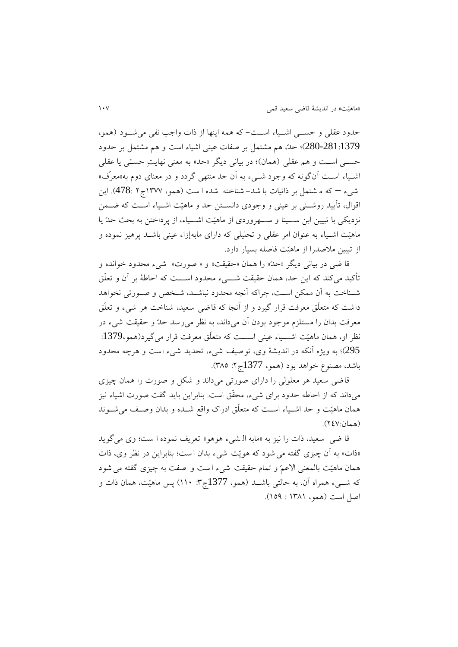حدود عقلی و حستی اشتیاء است– که همه اينها از ذات واجب نفی می شود (همو، 280-281:1379)؛ حدّ، هم مشتمل بر صفات عینی اشیاء است و هم مشتمل بر حدود حسبی است و هم عقلی (همان)؛ در بیانی دیگر «حد» به معنی نهایتِ حستی یا عقلی اشــیاء اســت آنگونه که وجود شــیء به أن حد منتهی گردد و در معنای دوم به«معرّف» شیء – که م شتمل بر ذاتیات با شد- شناخته شده ا ست (همو، ۱۳۷۷ج ۲ :478). این اقوال، تأیید روشتنی بر عینی و وجودی دانستین حد و ماهیّت اشتیاء است که ضتمن نزديکی با تبيين ابن ســـينا و ســـهروردی از ماهيّت اشـــياء، از پرداختن به بحث حدّ يا ماهیّت اشتیاء به عنوان امر عقلی و رحلیلی که دارای مابهإزاء عینی باشتد پرهیز نموده و از ربیین مالصدرا از ماهیّت فاصله بسیار دارد.

قا ضی در بیانی دیگر «حدّ» را همان «حقیقت» و « صورت» شیء محدود خوانده و تأکید می کند که این حد، همان حقیقت شــــیء محدود اســـت که احاطهٔ بر آن و تعلّق شـناخت به أن ممکن اسـت، چراکه أنچه محدود نباشـد، شـخص و صـورتی نخواهد داشت که متعلّق معرفت قرار گیرد و از آنجا که قاضی سعید، شناخت هر شیء و تعلّق معرفت بدان را مستلزم موجود بودن آن میداند، به نظر میرسد حدّ و حقیقت شیء در نظر او، همان ماهیّت اشــــیاء عینی اســــت که متعلّق معرفت قرار می گیرد(همو،1379: 295)؛ به ويژه آنکه در انديشهٔ وی، توصیف شیء، تحديد شیء است و هرچه محدود باشد، مصنوع خواهد بود (همو، 1377ج۲: ۳۸۵).

قاضی سعید هر معلولی را دارای صورری می داند و شکو و صورت را همان چیزی میداند که از احاطه حدود برای شیء، محقّق است. بنابراين بايد گفت صورت اشیاء نیز همان ماهیّت و حد اشتیاء استت که متعلّق ادراک واقف شتده و بدان وصتف میشتوند (همان:٢٤٧).

قا ضی سعید، ذات را نیز به »مابه ال شیء هوهو « رعريف نموده ا ست؛ وی می گويد «ذات» به أن چیزی گفته می شود که هويّت شيء بدان است؛ بنابراين در نظر وی، ذات همان ماهیّت بالمعنی االعمّ و رمام حقیقت شیء ا ست و صفت به چیزی گفته می شود که شسیء همراه آن، به حالتی باشــد (همو، 1377ج۳: ۱۱۰) پس ماهیّت، همان ذات و اصل است (همو، ۱۳۸۱ : ۱۵۹).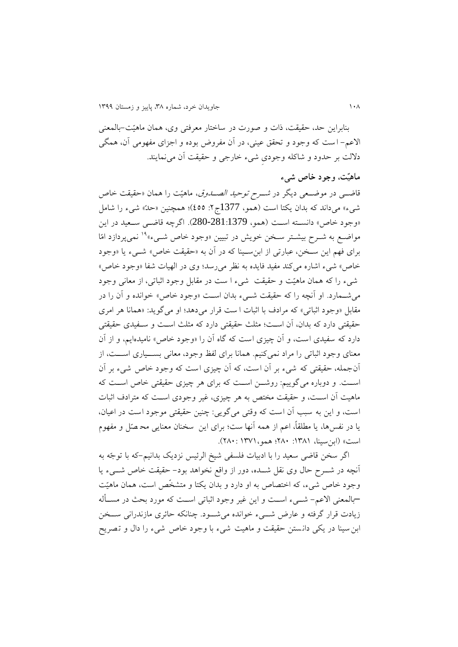بنابراين حد، حقیقت، ذات و صورت در ساختار معرفتی وی، همان ماهیّت-بالمعنی الاعم- است که وجود و تحقق عینی، در آن مفروض بوده و اجزای مفهومی آن، همگی دلالت بر حدود و شاکله وجودی شیء خارجی و حقیقت أن می نمایند.

#### **ماهیّت، وجود خاص شیء**

قاضــی در موضــعی دیگر در *شــرح توحید الصــدوق*، ماهیّت را همان «حقیقت خاص شیء» میداند که بدان يکتا است (همو، 1377ج۲: ٤٥٥)؛ همچنین «حدّ» شیء را شامل وجود خاص» دانسته است (همو، 281:1379-280). اگرچه قاضتی ستعید در این  $\,$ مواضـع به شــرح بيشــتر ســخن خويش در تبيين «وجود خاص شــیء»<sup>۱۹</sup> نمیپردازد امّا برای فهم اين سـخن، عبارتی از ابن سـينا که در آن به «حقيقت خاص» شـيء يا «وجود خاص» شیء اشاره می کند مفید فایده به نظر می رسد؛ وی در الهیات شفا «وجود خاص» شیء را که همان ماهیّت و حقیقت شیء ا ست در مقابل وجود اثباتی، از معانی وجود می شــمارد. او آنچه را که حقیقت شــیء بدان اسـت «وجود خاص» خوانده و آن را در مقابل «وجود اثباتی» که مرادف با اثبات ا ست قرار می دهد؛ او می گوید: «همانا هر امری حقیقتی دارد که بدان، آن است؛ مثلث حقیقتی دارد که مثلث است و سـفیدی حقیقتی دارد که سفیدی است، و اّن چیزی است که گاه اّن را «وجود خاص» نامیدهایم، و از اّن معنای وجود اثباتی را مراد نمیکنیم. همانا برای لفظ وجود، معانی بســیاری اســت، از آن جمله، حقیقتی که شیء بر آن است، که آن چیزی است که وجود خاص شیء بر آن است. و دوباره میگوییم: روشت است که برای هر چیزی حقیقتی خاص است که ماهیت آن اسـت، و حقیقت مختص به هر چیزی، غیر وجودی اسـت که مترادف اثبات است، و اين به سبب أن است که وقتی می گويی: چنين حقیقتی موجود است در اعیان، يا در نفسها، يا مطلقاً، اعم از همه آنها ست؛ برای اين ٍ سخنان معنايی مح صّل و مفهوم است» (ابن سینا، ۱۳۸۱: ۲۸۰؛ همو، ۱۳۷۱: ۲۸۰).

اگر سصن قاضی سعید را با ادبیات فلسفی شیخ الرئیس نزديک بدانیم-که با روجّه به أنچه در شـــرح حال وی نقل شـــده، دور از واقع نخواهد بود– حقیقت خاص شـــیء يا وجود خاص شیء، که اختصاص به او دارد و بدان يکتا و متشصّ است، همان ماهیّت –بالمعنی االعم- شتتیء استتت و اين غیر وجود اثباری استتت که مورد بحی در مستتهله زيادت قرار گرفته و عارض شتتیء خوانده میشتتود. چنانکه حائری مازندرانی ستتصن ابن سینا در يکی دانستن حقیقت و ماهیت شیء با وجود خاص شیء را دال و تصریح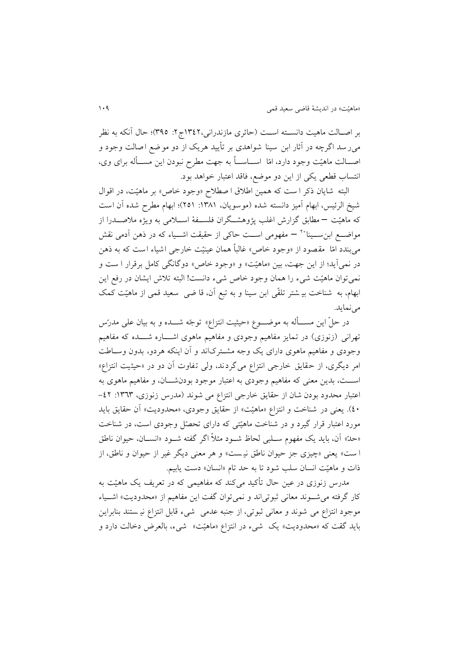بر اصـالت ماهیت دانســته اســت (حائری مازندرانی،١٣٤٢ج٢: ٣٩٥)؛ حال آنکه به نظر میر سد اگرچه در آثار ابن سینا شواهدی بر تأیید هریک از دو مو ضع اصالت وجود و اصـــالت ماهیّت وجود دارد، امّا اســـاســـاً به جهت مطرح نبودن اين مســـأله برای وی، انتساب قطعی يکی از اين دو موضف، فاقد اعتبار خواهد بود.

البته شایان ذکر ا ست که همین اطلاق ا صطلاح «وجود خاص» بر ماهیّت، در اقوال شیخ الرئیس، ابهام آمیز دانسته شده (موسویان، ۱۳۸۱: ۲۵۱)؛ ابهام مطرح شده آن است که ماهیّت – مطابق گزارش اغلب پژوهشـگران فلســفهٔ اســلامی به ويژه ملاصــدرا از مواضــع ابنِ ســينا َٽ – مفهومی اســت حاکی از حقیقت اشــياء که در ذهن اَدمی نقش میبندد امّا ً مقصود از «وجود خاص» غالباً همان عینیّت خارجی اشیاء است که به ذهن در نمی آيد؛ از اين جهت، بين «ماهيّت» و «وجود خاص» دوگانگی کامل برقرار ا ست و نمیتوان ماهیّت شیء را همان وجود خاص شیء دانست! البته تلاش ایشان در رفع این ابهام، به شناخت بیـ شتر تلقّی ابن سینا و به تبع آن، قا ضی سعید قمی از ماهیّت کمک مے نمايد.

در حلّ این مســـأله به موضــــوع «حیثیت انتزاع» توجّه شــــده و به بیان علی مدرّس تهرانی (زنوزی) در تمايز مفاهیم وجودی و مفاهیم ماهوی اشـــاره شـــده که مفاهیم وجودی و مفاهیم ماهوی دارای يک وجه مشترکاند و آن اينکه هردو، بدون وسـاطت امر دیگری، از حقایق خارجی انتزاع می گردند، ولی تفاوت آن دو در «حیثیت انتزاع» استتت، بدين معنی که مفاهیم وجودی به اعتبار موجود بودنشتتان، و مفاهیم ماهوی به اعتبار محدود بودن شان از حقایق خارجی انتزاع می شوند (مدرس زنوزی، ١٣٦٣: ٤٢-93(. يعنی در شناخت و انتزاع »ماهیّت« از حقايق وجودی، »محدوديت« ،ن حقايق بايد مورد اعتبار قرار گیرد و در شناخت ماهیّتی که دارای تحصّل وجودی است، در شناخت »حدّ« ،ن، بايد يک مفهوم ستلبی لحاظ شتود مثالً اگر گفته شتود »انستان، حیوان ناطق ا ست» يعني «چيزي جز حيوان ناطق نيست» و هر معنی ديگر غير از حيوان و ناطق، از ذات و ماهیّت انسان سلب شود تا به حد تام «انسان» دست یابیم.

مدرس زنوزی در عین حال تأکید می کند که مفاهیمی که در تعریف یک ماهیّت به کار گرفته می شـوند معانی ثبوتی اند و نمی توان گفت اين مفاهیم از «محدوديت» اشـياء موجود انتزاع می شوند و معانی ثبوری، از جنبه عدمی شیء قابو انتزاع نی ستند بنابراين بايد گقت که «محدوديت» يک شيء در انتزاع «ماهيّت» شيء، بالعرض دخالت دارد و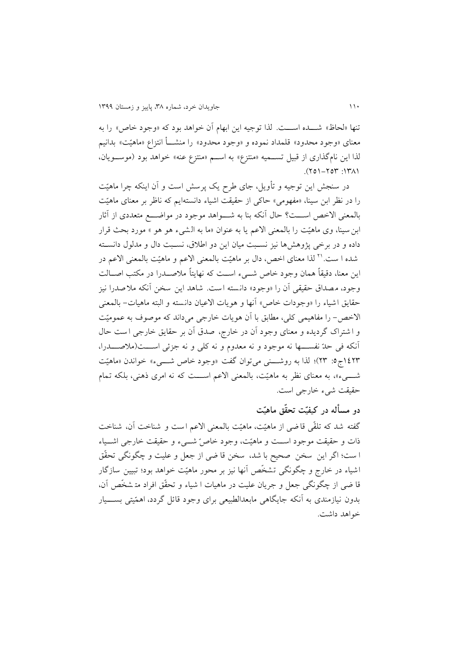تنها «لحاظ» شـــده اســـت. لذا توجيه اين ابهام أن خواهد بود که «وجود خاص» را به معنای »وجود محدود« قلمداد نموده و »وجود محدود« را منشتته انتزاع »ماهیّت« بدانیم لذا اين نامگذاری از قبيل تسـميه «منتزع» به اسـم «منتزع عنه» خواهد بود (موسـويان،  $(170 - 707)$ .

در سنجش اين توجيه و تأويل، جای طرح يک پرسش است و آن اينکه چرا ماهيّت را در نظر ابن سینا، »مفهومی« حاکی از حقیقت اشیاء دانستهايم که ناظر بر معنای ماهیّت بالمعنی الاخص اســـت؟ حال آنکه بنا به شـــواهد موجود در مواضــــع متعددی از آثار ابن سینا، وی ماهیّت را بالمعنی الاعم یا به عنوان «ما به الشیء هو هو » مورد بحث قرار داده و در برخی پژوهشها نیز نستبت میان اين دو اطالق، نستبت دال و مدلول دانستته شده ا ست.<sup>۲۱</sup> لذا معنای اخص، دال بر ماهیّت بالمعنی الاعم و ماهیّت بالمعنی الاعم در اين معنا، دقيقاً همان وجود خاص شــيء اســت که نهايتاً ملاصــدرا در مکتب اصــالت وجود، مصداق حقیقی آن را «وجود» دانسته است. شاهد این سخن آنکه ملاصدرا نیز حقايق اشياء را «وجودات خاص» آنها و هويات الاعيان دانسته و البته ماهيات- بالمعنى الاخص- را مفاهیمی کلی، مطابق با أن هويات خارجی می داند که موصوف به عمومیّت و ا شتراک گرديده و معنای وجود آن در خارج، صدق آن بر حقايق خارجی است حال ،نکه فی حدّ نفستتتها نه موجود و نه معدوم و نه کلی و نه جزئی استتتت )مالصتتتدرا، 9928ج:9 28(؛ لذا به روشتتتنی میروان گفت »وجود خاص شتتتیء« خواندن »ماهیّت شتتتیء«، به معنای نظر به ماهیّت ، بالمعنی االعم استتتت که نه امری ذهنی ، بلکه رمام حقیقت شیء خارجی است.

## **دو مسأله در کیفیّت تحقّق ماهیّت**

گفته شد که تلقّی قاضی از ماهیّت، ماهیّت بالمعنی الاعم است و شناخت آن، شناخت ذات و حقیقت موجود استتت و ماهیّت، وجود خاصّ شتتیء و حقیقت خارجی اشتتیاء ا ست؛ اگر اين سخن صحيح با شد، سخن قا ضي از جعل و عليت و چگونگي تحقّق اشیاء در خارج و چگونگی تشخّص آنها نیز بر محور ماهیّت خواهد بود؛ تبیین سازگار قا ضی از چگونگی جعل و جریان علیت در ماهیات ا شیاء و تحقّق افراد متشخّص آن، بدون نیازمندی به آنکه جایگاهی مابعدالطبیعی برای وجود قائل گردد، اهمّیتی بســـیار خواهد داشت.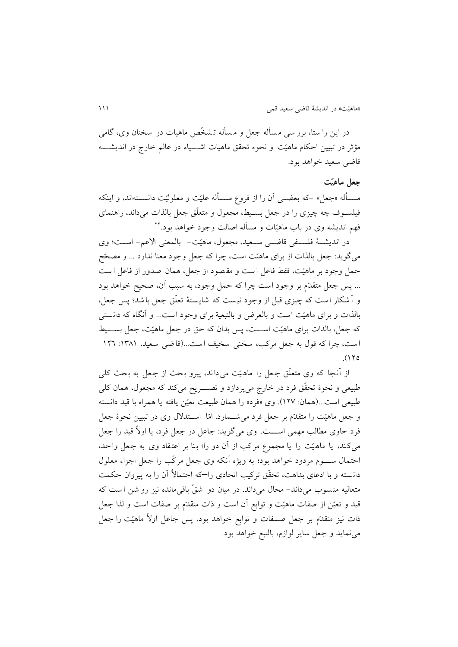در این را ستا، برر سی مسأله جعل و مسأله تـشخّص ماهیات در سخنان وی، گامی مؤثر در تبیین احکام ماهیّت و نحوه تحقق ماهیات اشـــیاء در عالم خارج در اندیشـــه قاضی سعید خواهد بود.

#### **جعل ماهیّت**

مســأله «جعل» –که بعضـــي آن را از فروع مســأله علیّت و معلولیّت دانســتهاند، و اینکه فیلســوف چه چیزی را در جعل بســیط، مجعول و متعلّق جعل بالذات می،داند، راهنمای 22 فهم انديشه وی در باب ماهیّات و مسهله اصالت وجود خواهد بود.

در انديشتتة فلستتفی قاضتتی ستتعید، مجعول، ماهیّت- بالمعنی االعم- استتت؛ وی می گويد: جعل بالذات از برای ماهيّت است، چرا که جعل وجود معنا ندارد ... و مصحّح حمل وجود بر ماهیّت، فقط فاعل است و مقصود از جعل، همان صدور از فاعل است ... پس جعل متقدّم بر وجود است چرا که حمل وجود، به سبب آن، صحیح خواهد بود و اً شکار است که چیزی قبل از وجود نیست که شایستهٔ تعلّق جعل با شد؛ پس جعلّ بالذات و برای ماهیّت است و بالعرض و بالتبعیة برای وجود است... و آنگاه که دانستی که جعل، بالذات برای ماهیّت اســـت، پس بدان که حق در جعل ماهیّت، جعل بســـیط است، چرا که قول به جعل مرکب، سخنی سخیف است...(قاضی سعید، ١٣٨١: ١٢٦- $(170$ 

از آنجا که وی متعلّق جعل را ماهیّت می داند، پیرو بحث از جعل به بحث کلی طبیعی و نحوهٔ تحقّق فرد در خارج میپردازد و تصــــریح میکند که مجعول، همان کلی طبیعی است ...)همان: 929(. وی »فرد« را همان طبیعت رعیّن يافته يا همراه با قید دانسته و جعل ماهیّت را متقدّم بر جعل فرد میشــمارد. امّا اســتدلال وی در تبیین نحوهٔ جعل فرد حاوی مطالب مهمی اســـت. وی میگوید: جاعل در جعل فرد، یا اولاً قید را جعل میکند، يا ماهيّت را يا مجموع مرکب از آن دو را؛ بنا بر اعتقاد وی به جعل واحد، احتمال ســــوم مردود خواهد بود؛ به ويژه أنکه وی جعل مرکّب را جعل اجزاء معلول دانسته و با ادعای بداهت، تحقّق ترکیب اتحادی را—که احتمالاً آن را به پیروان حکمت متعالیه منسوب میداند- محال می داند. در میان دو شقّ باقی مانده نیز رو شن است که قید و تعیّن از صفات ماهیّت و توابع أن است و ذات متقدّم بر صفات است و لذا جعل ذات نیز متقدّم بر جعل صــفات و توابع خواهد بود، پس جاعل اولاً ماهیّت را جعل می نمايد و جعل ساير لوازم، بالتبع خواهد بود.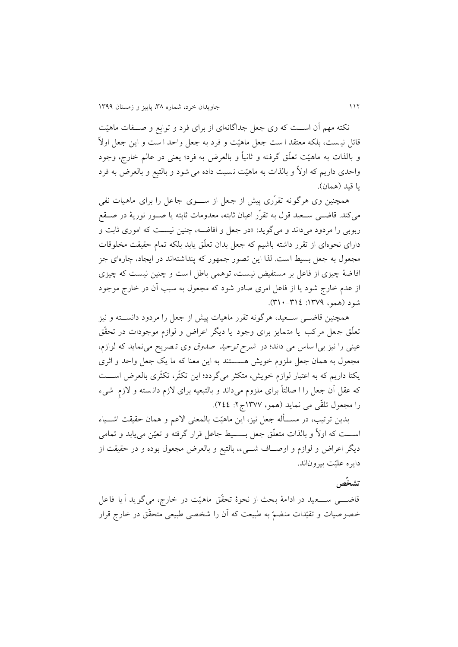نکته مهم أن اســت که وی جعل جداگانهای از برای فرد و توابع و صــفات ماهیّت قائل نیست، بلکه معتقد ا ست جعل ماهیّت و فرد به جعل واحد ا ست و این جعل اولاً و بالذات به ماهیّت رعلّق گرفته و ثانیاً و بالعرض به فرد؛ يعنی در عالم خارج، وجود واحدی داريم که اوالً و بالذات به ماهیّت ن سبت داده می شود و بالتبف و بالعرض به فرد يا قيد (همان).

همچنین وی هرگونه تقرّری پیش از جعل از ســــوی جاعل را برای ماهیات نفی می کند. قاضــی ســعید قول به تقرّر اعیان ثابته، معدومات ثابته یا صــور نوریهٔ در صــقع ربوبی را مردود میداند و میگويد: »در جعو و افاضته، چنین نیستت که اموری ثابت و دارای نحوهای از تقرر داشته باشیم که جعل بدان تعلّق یابد بلکه تمام حقیقت مخلوقات مجعول به جعل بسیط است. لذا این تصور جمهور که پنداشتهاند در ایجاد، چارهای جز افاضهٔ چیزی از فاعل بر مستفیض نیست، توهمی باطل است و چنین نیست که چیزی از عدم خارج شود يا از فاعل امری صادر شود که مجعول به سبب آن در خارج موجود شود (همو، ١٣٧٩: ١٣٤-٣١٠).

همچنین قاضـــی ســـعید، هرگونه تقرر ماهیات پیش از جعل را مردود دانســـته و نیز تعلّق جعل مرکب يا متمايز برای وجود يا ديگر اعراض و لوازم موجودات در تحقّق عینی را نیز بیا ساس می داند؛ در شرح روحید صدوق وی ر صريح می نمايد که لوازم، مجعول به همان جعل ملزوم خويش هســـتند به اين معنا که ما يک جعل واحد و اثری يکتا داريم که به اعتبار لوازم خويش، متکثر می گردد؛ اين تکثّر، تکثّری بالعرض اســـت که عقل آن جعل را ا صالتاً برای ملزوم میداند و بالتبعیه برای لازم دانسته و لازم شیء را مجعول رلقّی می نمايد )همو، 9899ج:2 299(.

بدين ترتيب، در مســأله جعل نيز، اين ماهيّت بالمعنى الاعم و همان حقيقت اشـــياء اســـت که اولاً و بالذات متعلّق جعل بســـیط جاعل قرار گرفته و تعیّن می یابد و تمامی ديگر اعراض و لوازم و اوصـاف شـــيء، بالتبع و بالعرض مجعول بوده و در حقیقت از دايره علیّت بیروناند.

### **تشخّص**

قاضت ستعید در ادامهٔ بحث از نحوهٔ تحقّق ماهیّت در خارج، می گوید آیا فاعل خصوصیات و تقیّدات منضمّ به طبیعت که أن را شخصی طبیعی متحقّق در خارج قرار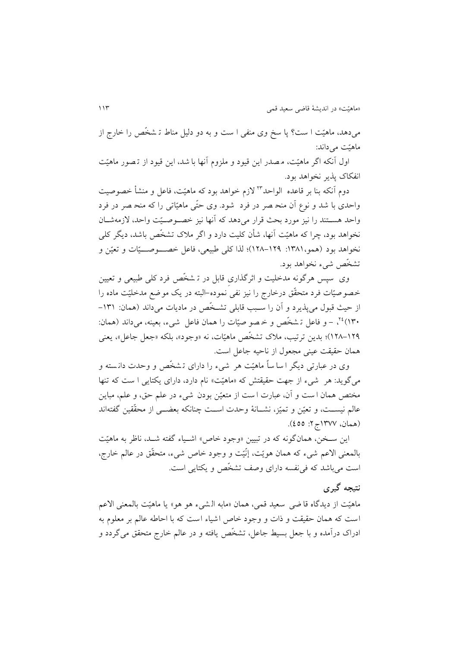میدهد، ماهیّت ا ست؟ پا سخ وی منفی ا ست و به دو دلیو مناط ر شصّ را خارج از ماهیّت می داند:

اول آنکه اگر ماهیّت، م صدر اين قیود و ملزوم آنها با شد، اين قیود از تـصور ماهیّت انفکاک پذير نصواهد بود.

دوم آنکه بنا بر قاعده الواحد\*۲ لازم خواهد بود که ماهیّت، فاعل و منشأ خصوصیت واحدی با شد و نوع اّن منح صر در فرد ً شود. وی حتّی ماهیّاتی را که منح صر در فرد واحد هسـتند را نیز مورد بحث قرار می دهد که أنها نیز خصـوصـیّت واحد، لازمهشـان نخواهد بود، چرا که ماهیّت آنها، شأن کلیت دارد و اگر ملاک تشخّص باشد، دیگر کلی نخواهد بود (همو،١٣٨١: ١٢٩-١٢٨)؛ لذا کلی طبیعی، فاعل خصـــوصـــيّات و تعيّن و تشخّص شیء نخواهد بود.

وی سپس هرگونه مدخلیت و اثرگذاری قابل در ت<sub>ـ</sub>شخّص فرد کلی طبیعی و تعیین خصوصیّات فرد متحقّق درخارج را نیز نفی نموده–البته در یک موضع مدخلیّت ماده را از حیث قبول می پذیرد و آن را سبب قابلی تشخّص در ماديات می داند (همان: ۱۳۱-<sup>16</sup>(۱۳۰ - و فاعل تـ شخّص و خـ صو صیّات را همان فاعل شیء، بعینه، می داند (همان: 923-924(؛ بدين ررریب، مالک رشصّ ماهیّات، نه »وجود«، بلکه »جعو جاعو«، يعنی همان حقیقت عینی مجعول از ناحیه جاعل است.

وی در عبارتی دیگر ا سا ساً ماهیّت هر شیء را دارای تشخّص و وحدت دانسته و میگوید: هر شیء از جهت حقیقتش که «ماهیّت» نام دارد، دارای یکتایی ا ست که تنها مختص همان ا ست و آن، عبارت ا ست از متعیّن بودن شیء در علم حق، و علم، مباین عالم نیســت، و تعیّن و تمیّز، نشــانهٔ وحدت اســت چنانکه بعضــی از محقّقین گفتهاند (همان، ۱۳۷۷ج۲: ٤٥٥).

اين سـخن، همانگونه که در تبيين «وجود خاص» اشـياء گفته شـد، ناظر به ماهيّت بالمعنی االعم شیء که همان هويّت، إنّیّت و وجود خاص شیء، متحقّ ق در عالم خارج، است میباشد که فینفسه دارای وصف رشصّ و يکتايی است.

## **نتیجه گیری**

ماهیّت از ديدگاه قا ضی سعید قمی، همان »مابه ال شیء هو هو « يا ماهیّت بالمعنی االعم است که همان حقیقت و ذات و وجود خاص اشیاء است که با احاطه عالم بر معلوم به ادراک درآمده و با جعل بسیط جاعل، تشخّص یافته و در عالم خارج متحقق میگردد و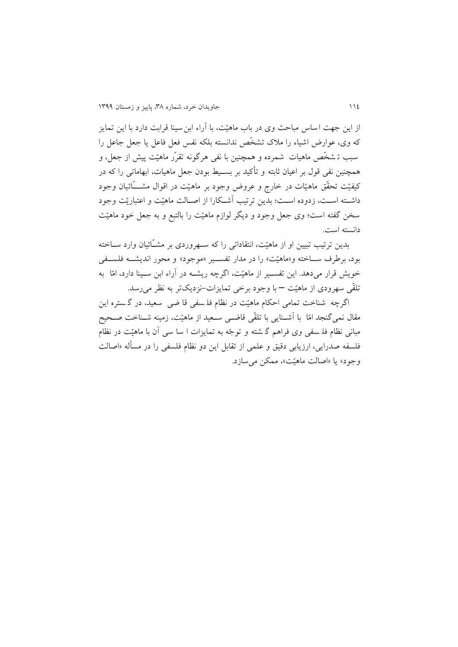از اين جهت اساس مباحث وی در باب ماهيّت، با آراء ابن سينا قرابت دارد با اين تمايز که وی، عوارض اشیاء را ملاک تشخّص ندانسته بلکه نفس فعل فاعل یا جعل جاعل را سبب تـ شخّص ماهیات ً شمرده و همچنین با نفی هرگونه تقرّر ماهیّت پیش از جعل، و همچنین نفی قول بر اعیان ثابته و تأکید بر بسـیط بودن جعل ماهیات، ابهاماتی را که در کیفیّت تحقّق ماهیّات در خارج و عروض وجود بر ماهیّت در اقوال مشــــَائیان وجود داشته است، زدوده است؛ بدين ترتيب آشكارا از اصـالت ماهيّت و اعتباريّت وجود سخن گفته است؛ وی جعل وجود و ديگر لوازم ماهيّت را بالتبع و به جعل خود ماهيّت دانسته است.

بدين ترتيب تبيين او از ماهيّت، انتقاداتی را که سـهروردی بر مشــّائيان وارد ســاخته بود، برطرف ســاخته و«ماهیّت» را در مدار تفســير «موجود» و محور انديشــه فلســفي خويش قرار میدهد. اين تفسـير از ماهيّت، اگرچه ريشــه در آراء ابن سـينا دارد، امّا ً به تلقّی سهرودی از ماهیّت – با وجود برخی تمايزات-نزديکتر به نظر می رسد.

اگرچه شناخت تمامی احکام ماهیّت در نظام فلـ سفی قا ضی سعید، در گـ ستره این مقال نمیگنجد امّا با اَشــنايی با تلقّی قاضــی ســعید از ماهیّت، زمینه شــناخت صــحیح مبانی نظام فلـ سفی وی فراهم گـ شته و توجّه به تمایزات ا سا سی آن با ماهیّت در نظام فلسفه صدرايي، ارزيابي دقيق و علمي از تقابل اين دو نظام فلسفي را در مسأله «اصالت وجود» يا «اصالت ماهيّت»، ممکن می سازد.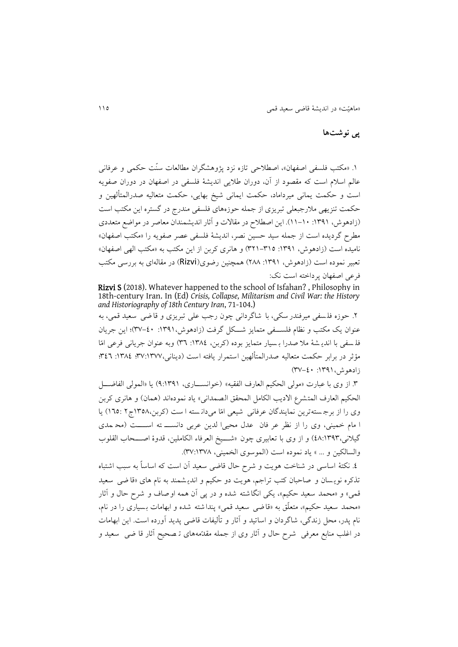## **پی نوشتها**

۱. «مکتب فلسفی اصفهان»، اصطلاحی تازه نزد پژوهشگران مطالعات سنّت حکمی و عرفانی عالم اسلام است که مقصود از آن، دوران طلایی اندیشهٔ فلسفی در اصفهان در دوران صفویه است و حکمت يمانی میرداماد، حکمت ايمانی شیخ بهايی، حکمت متعالیه صدرالمتهلهین و حکمت تنزيهی ملارجبعلی تبريزي از جمله حوزههای فلسفی مندرج در گستره اين مکتب است )زادهوش، :9849 99-93(. اين اصطالح در مقاالت و ،ثار انديشمندان معاصر در مواضف متعددی مطرح گرديده است از جمله سید حسین نصر، انديشة فلسفی عصر صفويه را »مکتب اصفهان« نامیده است )زادهوش، :9849 829-899( و هانری کربن از اين مکتب به »مکتب الهی اصفهان« تعبیر نموده است (زادهوش، ۱۳۹۱: ۱۲۸۸) همچنین رضوی(Rizvi) در مقالهای به بررسی مکتب فرعی اصفهان پرداخته است نک:

Rizvi S (2018). Whatever happened to the school of Isfahan? , Philosophy in 18th-century Iran. In (Ed) *Crisis, Collapse, Militarism and Civil War: the History and Historiography of 18th Century Iran*, 71-104.)

.2 حوزه فل سفی میرفندر سکی، با شاگردانی چون رجب علی ربريزی و قا ضی سعید قمی، به عنوان يک مکتب و نظام فلسـفي متمايز شــکل گرفت (زادهوش، ١٣٩١: ٤٠-٣٧)؛ اين جريان فل سفی با اندي ش ة مال صدرا ب سیار متمايز بوده )کربن، :9839 89( وبه عنوان جريانی فرعی امّا مؤثر در برابر حکمت متعالیه صدرالمتألهین استمرار یافته است (دینانی،۱۳۷۷: ۱۳۸۶: ۱۳۸۲؛ ۴٤٦؛ زادهوش،١٣٩١: ٤٠-٣٧)

.8 از وی با عبارت »مولی الحکیم العارف الفقیه« )خوانستتاری، 4:9849( يا »المولی الفاضتتو الحکیم العارف المتشرع الاديب الکامل المحقق الصمدانی» ياد نمودهاند (همان) و هانری کربن وی را از برجستهترين نمايندگان عرفانی شیعی امّا میدانسته است (کربن،۱۳۵۸ج۲ ۱٦٥:) يا ا مام خمینی، وی را از نظر عر فان عدل محیی الدین عربی دانست ته استت (مح مدی گیلانی،١٣٩٣٪)) و از وی با تعابیری چون «شـــیخ العرفاء الکاملین، قدوهٔ اصـــحاب القلوب والسالکین و ... » یاد نموده است (الموسوی الخمینی، ۱۳۷۸:۱۳۷).

٤. نکتهٔ اساسی در شناخت هویت و شرح حال قاضی سعید آن است که اساساً به سبب اشتباه تذکره نويسان و صاحبان کتب تراجم، هويت دو حکيم و انديشمند به نام های «قا ضي سعيد قمی» و «محمد سعید حکیم»، یکی انگاشته شده و در پی آن همه اوصاف و شرح حال و آثار «محمد سعید حکیم»، متعلّق به «قاضی سعید قمی» پنداشته شده و ابهامات بسیاری را در نام، نام پدر، محل زندگی، شاگردان و اساتید و آثار و تألیفات قاضی پدید آورده است. این ابهامات در اغلب منابع معرفی شرح حال و آثار وی از جمله مقدّمههای تـ صحیح آثار قا ضی سعید و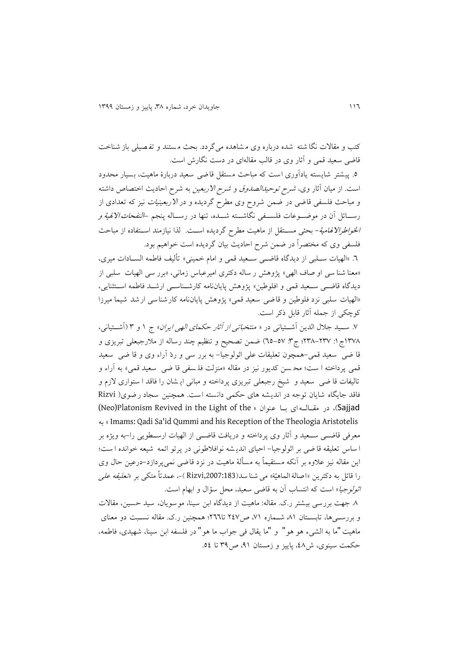کتب و مقالات نگا شته شده درباره وی مشاهده میگردد. بحث مستند و تفصیلی باز شناخت قاضی سعید قمی و آثار وی در قالب مقالهای در دست نگارش است.

0. پیشتر شایسته یادآوری است که مباحث مستقل قاضی سعید دربارهٔ ماهیت، بسیار محدود است. از میان آثار وی، *شرح توحیدالصدوق و شرح الاربعین* به شرح احادیث اختصاص داشته و مباحث فلسفی قاضی در ضمن شروح وی مطرح گردیده و در *الاربعینیات* نیز که تعدادی از رســـائل آن در موضـــوعات فلســـفی نگاشـــته شـــده، تنها در رســـاله پنجم *–النفحات الالهية و* ا*لخواطرالالهامیة- بحثی مست*قل از ماهیت مطرح گردیده است. لذا نیازمند استفاده از مباحث فلسفی وی که مصتصراً در ضمن شرح احاديی بیان گرديده است خواهیم بود.

.9 »الهیات ستلبی از ديدگاه قاضتی ستتعید قمی و امام خمینی« رهلیف فاطمه الستتادات میری، «معنا شنا سی او صاف الهی» پژوهش ر ساله دکتری امیرعباس زمانی، «برر سی الهیات سلبی از ديدگاه قاضتی ستعید قمی و افلوطین« پژوهش پاياننامه کارشتناستی ارشتد فاطمه استتثنايی، «الهیات سلبی نزد فلوطین و قاضی سعید قمی» پژوهش پایاننامه کارشناسی ارشد شیما میرزا کوچکی از جمله آثار قابل ذکر است.

۷. سـيد جلال الدين أشـتيانی در « *منتخباتی از آثار حکمای الهی ايران*» ج ۱ و ۳ (أشـتيانی، ١٣٧٨ج ١: ٢٣٧-٢٣٨؛ ج٣: ٥٧-٦٥) ضمن تصحیح و تنظیم چند رساله از ملارجبعلی تبريزی و قا ضی سعید قمی -همچون رعلیقات علی اثولوجیا- به برر سی و ردّ ،راء وی و قا ضی سعید قمی پرداخته ا ست؛ محـ سن کديور نيز در مقاله «منزلت فلـ سفي قا ضي سعيد قمي» به آراء و تالیفات قا ضی سعید و شیخ رجبعلی تبریزی پرداخته و مبانی ای شان را فاقد ا ستواری لازم و فاقد جايگاه شايان توجه در انديشه های حکمی دانسته است. همچنين سجاد رضوی( Rizvi (Neo)Platonism Revived in the Light of the « عنوان بتا ای مقتالته در ،(Sajjad به « Imams: Qadi Sa'id Qummi and his Reception of the Theologia Aristotelis معرفی قاضتی ستعید و آثار وی پرداخته و دريافت قاضتی از الهیات ارستطويی را-به ويژه بر ا ساس رعلیقه قا ضی بر اثولوجیا - احیای اندي شه نوافالطونی در پررو ائمه شیعه خوانده ا ست؛ این مقاله نیز علاوه بر آنکه مستقیماً به مسألهٔ ماهیت در نزد قاضی نمی پردازد-درعین حال وی را قائل به دکترين «اصالۀ الماهيّۀ» می شنا سد(Rizvi,2007:183 )-، عمدتاً متکی بر «*تعلیقه علی* ا*ثولوجیا*» است که انتساب آن به قاضی سعید، محل سؤال و ابهام است.

.3 جهت بررسی بیشتر ر.ک. مقاله: ماهیت از ديدگاه ابن سینا، مو سويان، سید حسین، مقاالت و بررستی ها، تابستان ۸۱ شتماره ۷۱ ص۲٤۷ تا۲٦٦؛ همچنین ر.ک. مقاله نستبت دو معنای ماهیت"ما به الشیء هو هو" و "ما يقال فی جواب ما هو" در فلسفه ابن سینا ، شهیدی، فاطمه، حکمت سینوی، ش،93 پايیز و زمستان ،49 ص84 را .99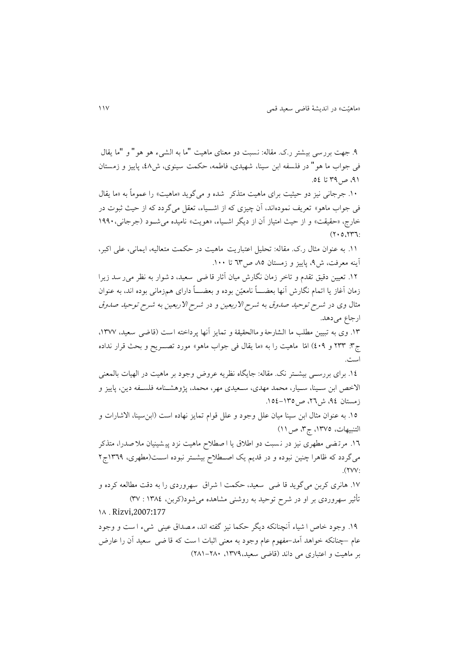.4 جهت بررسی بیشتر ر.ک. مقاله: نسبت دو معنای ماهیت "ما به الشیء هو هو" و "ما يقال فی جواب ما هو" در فلسفه ابن سینا ، شهیدی، فاطمه، حکمت سینوی، ش،93 پايیز و زمستان ۹۱، ص ۳۹ تا ٥٤.

.93 جرجانی نیز دو حیثیت برای ماهیت متذکر شده و می گويد »ماهیت« را عموماً به »ما يقال فی جواب ماهو» تعریف نمودهاند، آن چیزی که از اشــیاء، تعقل میگردد که از حیث ثبوت در خارج، «حقیقت» و از حیث امتیاز أن از دیگر اشـیاء، «هویت» نامیده می شـود (جرجانی، ۱۹۹۰  $(7.0.777)$ 

.99 به عنوان مثال ر.ک. مقاله: رحلیو اعتباريت ماهیت در حکمت متعالیه، ايمانی، علی اکبر، آينه معرفت، ش۹، پاييز و زمستان ۸۵، ص۳۳ تا ۱۰۰.

١٢. تعیین دقیق تقدم و تاخر زمان نگارش میان آثار قا ضی سعید، د شوار به نظر می ر سد زیرا زمان آغاز يا اتمام نگارش أنها بعضـــاً نامعیّن بوده و بعضـــاً دارای همزمانی بوده اند، به عنوان مثال وی در شرح روحید صدوق به شرح االربعین و در شرح االربعین به شرح روحید صدوق ارجاع میدهد.

۱۳. وی به تبیین مطلب ما الشارحۀ و ماالحقیقۀ و تمایز آنها پرداخته است (قاضی سعید، ۱۳۷۷، ج**:**7 3 1٣٣ و ٤٠٩) امّا ماهيت را به «ما يقال في جواب ماهو» مورد تصـــريح و بحث قرار نداده است.

١٤. برای بررستی بیشتتر نک. مقاله: جايگاه نظريه عروض وجود بر ماهيت در الهيات بالمعنی الاخص ابن سـينا، سـيار، محمد مهدي، سـعيدي مهر، محمد، پژوهشـنامه فلسـفه دين، پاييز و زمستان ۹٤، ش۲۲، ص ۱۳۵–۱۵٤.

10. به عنوان مثال ابن سینا میان علل وجود و علل قوام تمایز نهاده است (ابن سینا، الاشارات و التنبیهات، ١٣٧٥، ج٣، ص ١١)

.99 مرر ضی مطهری نیز در ن سبت دو اطالق يا ا صطالح ماهیت نزد پی شینیان مال صدرا، متذکر میگردد که ظاهرا چنین نبوده و در قدیم یک اصطلاح بیشتتر نبوده است(مطهری، 1۳٦٩ج۲  $(1)$ 

.99 هانری کربن میگويد قا ضی سعید، حکمت ا شراق سهر وردی را به دقت مطالعه کرده و تأثیر سهروردی بر او در شرح توحید به روشنی مشاهده میشود(کربن، ۱۳۸٤ : ۳۷) 93 . Rizvi,2007:177

۱۹. وجود خاص ا شیاء آنچنانکه دیگر حکما نیز گفته اند، مصداق عینی شیء ا ست و وجود عام –چنانکه خواهد اًمد–مفهوم عام وجود به معنی اثبات ا ست که قا ضی ً سعید اّن را عارض بر ماهیت و اعتباری می داند )قاضی سعید،9894، 239-233(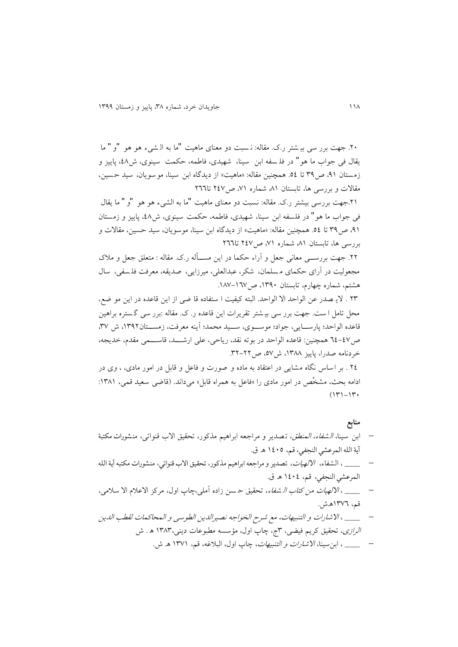.23 جهت برر سی بی شتر ر.ک. مقاله: ن سبت دو معنای ماهیت "ما به ال شیء هو هو "و " ما يقال فی جواب ما هو" در فل سفه ابن سینا ، شهیدی، فاطمه، حکمت سینوی، ش ،93 پايیز و زمستان ،49 ص84 را .99 همچنین مقاله: »ماهیت« از ديدگاه ابن سینا، موسويان، سید حسین، مقالات و بررسی ها، تابستان ۸۱ شماره ۷۱، ص۲٤۷ تا۲٦٦

.29جهت بررسی بیشتر ر.ک. مقاله: نسبت دو معنای ماهیت "ما به الشیء هو هو "و " ما يقال فی جواب ما هو" در فلسفه ابن سینا ، شهیدی، فاطمه، حکمت سینوی، ش ،93 پايیز و زمستان ،49 ص84 را .99 همچنین مقاله: »ماهیت« از ديدگاه ابن سینا، موسويان، سید حسین، مقاالت و بررسی ها، تابستان ۸۱، شماره ۷۱، ص ۲٤۷ تا۲٦٦

٢٢. جهت بررستی معانی جعل و آراء حکما در اين مســأله ر.ک. مقاله : متعلق جعل و ملاک مجعولیت در آرای حکمای مسلمان، شکر، عبدالعلی، میرزایی، صدیقه، معرفت فلسفی، سال هشتم، شماره چهارم، تابستان ۱۳۹۰، ص۱۸۷-۱۸۷.

28 . الي صدر عن الواحد اال الواحد. البته کیفیت ا ستفاده قا ضی از اين قاعده در اين مو ضف، محل تامل ا ست. جهت برر سی بی شتر تقریرات این قاعده ر. ک. مقاله :برر سی گستره براهین قاعده الواحد؛ پارسـايی، جواد؛ موسـوی، سـيد محمد؛ أينه معرفت، زمســتان١٣٩٢، ش ٣٧. ص99-99 همچنین: قاعده الواحد در بوره نقد، رياحی، علی ارشتتتد، قاستتتمی مقدم، خديجه، خردنامه صدرا، پاييز ١٣٨٨، ش٧٥، ص٢٢-٣٢.

٢٤ . بر اساس نگاه مشايی در اعتقاد به ماده و صورت و فاعل و قابل در امور مادی، ، وی در ادامه بحث، مشخَّص در امور مادی را «فاعل به همراه قابل» میداند. (قاضی سعید قمی، ۱۳۸۱:  $(17)-17$ 

**منابع**

- ابن سینا، *الشفاء، المنطق*، تصدیر و مراجعه ابراهیم مذکور، تحقیق الاب قنواتی، منشورات مكتبة آية الله المرعشي النجفي، قم، 9939 ه. ق.
- \_\_\_\_\_\_ ، الشفاء، ا*لالهیات*، تصدير و مراجعه ابراهيم مذكور، تحقيق الاب قنواتي، منشورات مكتبه آية الله المرعشي النجفي، قم، 9939 ه. ق.
- \_\_\_\_ ، *الالهیات من کتاب الـ شفاء*، تحقیق حـسن زاده آملی،چاپ اول، مرکز الاعلام الا سلامی، قم، 9899ه.ش.
- \_\_\_\_\_ ، االشارات و التنبیهات، مف شرح الصواجه نصیرالدين الطوسی و المحاکمات لقطب الدين الر*ازی*، تحقیق کریم فیضی، ۳ج، چاپ اول، مؤسسه مطبوعات دینی،۱۳۸۳ ه . ش
	- \_\_\_\_\_ ، ابنسینا، االشارات و التنبیهات، چاپ اول، البالغه، قم، 9899 ه. ش.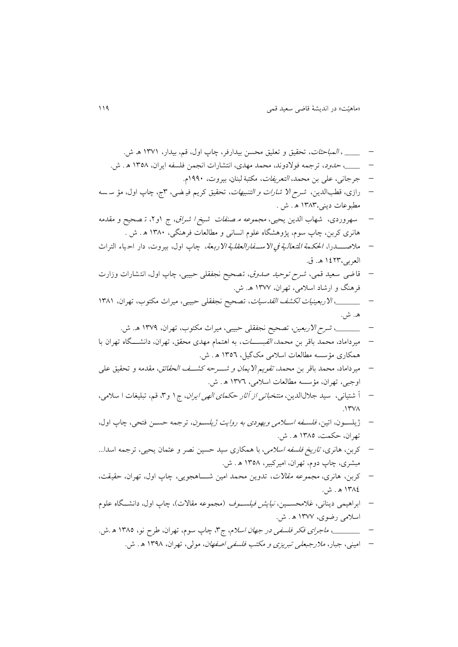\_\_\_\_\_ ، المباحثات، رحقیق و رعلیق محسن بیدارفر، چاپ اول، قم، بیدار، 9899 ه. ش. \_\_\_\_\_ ، حدود، ررجمه فوالدوند، محمد مهدی، انتشارات انجمن فلسفه ايران، 9893 ه . ش. جرجانی، علی بن محمد، التعريفات، مكتبۀ لبنان، بیروت، 9443م. رازی، قطبالدين، شرح اال شارات و التنبیهات ، رحقیق کريم فی ضی، 8ج، چاپ اول، مؤ س سه مطبوعات دينی9838، ه . ش . سهروردی، شهاب الدين يحیی، مجموعه م صنفات شیخ ا شراق ، ج 9و،2 ر صحیح و مقدمه هانری کربن، چاپ سوم، پژوهش اه علوم انسانی و مطالعات فرهن ی، 9833 ه . ش . مالصتتتدرا، احلك مة املت عال یة يف االسفف فالالعية یة االلة عة، چاپ اول، بیروت، دار اح یاء التراث العربی9928، ه.. ق. قاضی سعید قمی، شرح روحید صدوق ، رصحیح نجفقلی حبیبی، چاپ اول، انتشارات وزارت فرهنگ و ارشاد اسالمی، رهران، 9899 ه.. ش. \_\_\_\_\_\_\_\_ ، االربعینیات لکشف القدسیات ، رصحیح نجفقلی حبیبی، میراث مکتوب، رهران، 9839 ه.. ش. \_\_\_\_\_\_\_\_ ، شرح االربعین، رصحیح نجفقلی حبیبی، میراث مکتوب، رهران، 9894 ه.. ش. میرداما د، محمد باقر بن محمد، القبستتتات، به اهتمام مهدی محقق، رهران، دانشتتت اه رهران با همکاری مؤسسه مطالعات اسالمی مکگیو، 9899 ه . ش. میرداماد، محمد باقر بن محمد، رقويم االيمان و شتترحه کشتتف الحقائق ، مقدمه و رحقیق علی اوجبی، رهران، مؤسسه مطالعات اسالمی، 9899 ه . ش. ، شتیانی ، سید جال لالدين، منتصباری از ،ثار حکمای الهی ايران، ج9 و،8 قم، ربلییات ا سالمی، .9893 ژيلستون، ارین، فلستفه استالمی ويهودی به روايت ژيلستون، ررجمه حستن فتحی، چاپ اول، رهران، حکمت، 9839 ه . ش. کربن، هانری، راريخ فلسفه اسالمی، با همکاری سید حسین نصر و عثمان يحیی، ررجمه اسدا... مبشری، چاپ دوم، رهران، امیرکبیر، 9893 ه . ش. کربن، هانری، مجموعه مقاالت ، ردوين محمد امین شتتتا هجويی، چاپ اول، رهران، حقیقت، 9839 ه . ش. ابراهیمی دينانی، غالمحستتین، نیايش فیلستتوف )مجموعه مقاالت(، چاپ اول، دانشتت اه علوم اسالمی رضوی، 9899 ه . ش. \_\_\_\_\_\_\_\_\_ ، ماجرای فکر فلسفی در جهان اسالم، ج،8 چاپ سوم، رهران، طرح نو، 9839 ه .ش. امینی، جبار، مالرجبعلی ربريزی و مکتب فلسفی اصفهان، مولی، رهران، 9843 ه . ش.